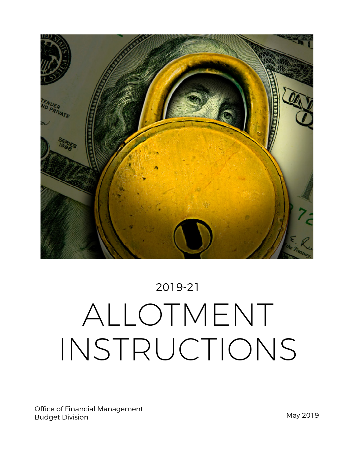

# 2019-21 ALLOTMENT INSTRUCTIONS

Office of Financial Management Budget Division **May 2019**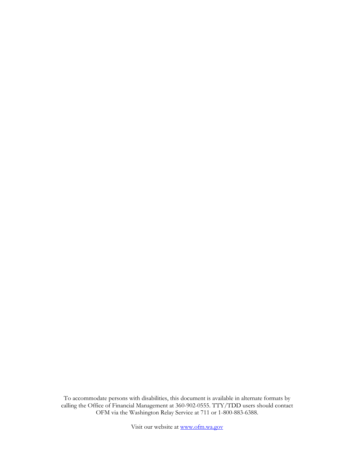To accommodate persons with disabilities, this document is available in alternate formats by calling the Office of Financial Management at 360-902-0555. TTY/TDD users should contact OFM via the Washington Relay Service at 711 or 1-800-883-6388.

Visit our website at [www.ofm.wa.gov](http://www.ofm.wa.gov/)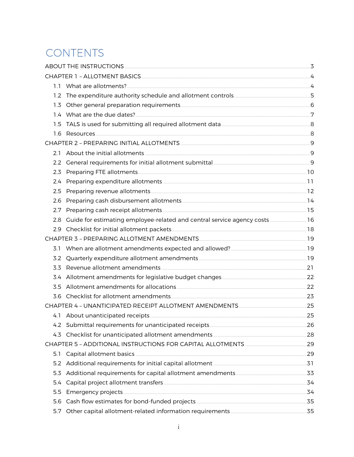# CONTENTS

| 2.1 |                                                                               |  |
|-----|-------------------------------------------------------------------------------|--|
|     |                                                                               |  |
|     |                                                                               |  |
|     |                                                                               |  |
|     |                                                                               |  |
| 2.6 |                                                                               |  |
|     |                                                                               |  |
|     | 2.8 Guide for estimating employee-related and central service agency costs 16 |  |
|     |                                                                               |  |
|     |                                                                               |  |
| 3.1 |                                                                               |  |
|     |                                                                               |  |
| 3.3 |                                                                               |  |
|     |                                                                               |  |
|     |                                                                               |  |
|     |                                                                               |  |
|     |                                                                               |  |
|     |                                                                               |  |
|     |                                                                               |  |
| 4.3 |                                                                               |  |
|     |                                                                               |  |
| 5.1 |                                                                               |  |
|     |                                                                               |  |
| 5.3 |                                                                               |  |
| 5.4 |                                                                               |  |
| 5.5 |                                                                               |  |
| 5.6 |                                                                               |  |
| 5.7 |                                                                               |  |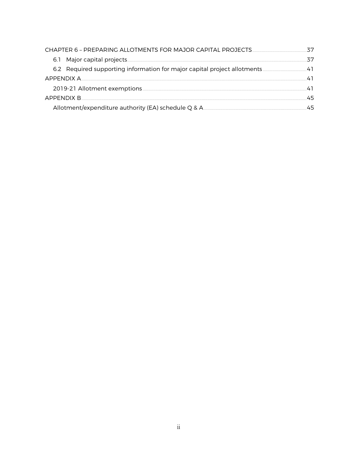|                  | 37 |
|------------------|----|
|                  | スワ |
|                  |    |
|                  | 41 |
|                  |    |
| APPENDIX B<br>45 |    |
|                  | 45 |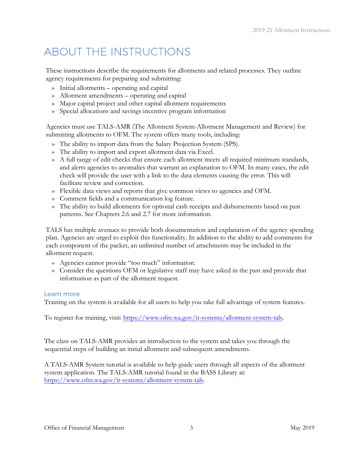# <span id="page-4-0"></span>ABOUT THE INSTRUCTIONS

These instructions describe the requirements for allotments and related processes. They outline agency requirements for preparing and submitting:

- » Initial allotments operating and capital
- » Allotment amendments operating and capital
- » Major capital project and other capital allotment requirements
- » Special allocations and savings incentive program information

Agencies must use TALS-AMR (The Allotment System-Allotment Management and Review) for submitting allotments to OFM. The system offers many tools, including:

- » The ability to import data from the Salary Projection System (SPS).
- » The ability to import and export allotment data via Excel.
- » A full range of edit checks that ensure each allotment meets all required minimum standards, and alerts agencies to anomalies that warrant an explanation to OFM. In many cases, the edit check will provide the user with a link to the data elements causing the error. This will facilitate review and correction.
- » Flexible data views and reports that give common views to agencies and OFM.
- » Comment fields and a communication log feature.
- » The ability to build allotments for optional cash receipts and disbursements based on past patterns. See Chapters 2.6 and 2.7 for more information.

TALS has multiple avenues to provide both documentation and explanation of the agency spending plan. Agencies are urged to exploit this functionality. In addition to the ability to add comments for each component of the packet, an unlimited number of attachments may be included in the allotment request.

- » Agencies cannot provide "too much" information.
- » Consider the questions OFM or legislative staff may have asked in the past and provide that information as part of the allotment request.

### Learn more

Training on the system is available for all users to help you take full advantage of system features.

To register for training, visit: https://www.ofm.wa.gov/it-systems/allotment-system-tals.

The class on TALS-AMR provides an introduction to the system and takes you through the sequential steps of building an initial allotment and subsequent amendments.

A TALS-AMR System tutorial is available to help guide users through all aspects of the allotment system application. The TALS-AMR tutorial found in the BASS Library at: [https://www.ofm.wa.gov/it-systems/allotment-system](https://www.ofm.wa.gov/it-systems/allotment-system-tals)[-](http://bass.ofm.wa.gov/BASSPR/library/default.htm)[tals.](https://fortress.wa.gov/ofm/bass/BASSPR/library/default.htm)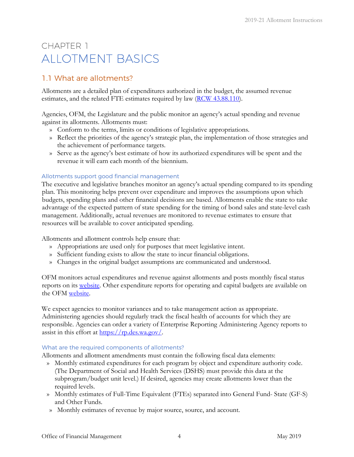# <span id="page-5-0"></span>CHAPTER 1 ALLOTMENT BASICS

# <span id="page-5-1"></span>1.1 What are allotments?

Allotments are a detailed plan of expenditures authorized in the budget, the assumed revenue estimates, and the related FTE estimates required by law [\(RCW 43.88.110\)](https://apps.leg.wa.gov/RCW/default.aspx?cite=43.88.110).

Agencies, OFM, the Legislature and the public monitor an agency's actual spending and revenue against its allotments. Allotments must:

- » Conform to the terms, limits or conditions of legislative appropriations.
- » Reflect the priorities of the agency's strategic plan, the implementation of those strategies and the achievement of performance targets.
- » Serve as the agency's best estimate of how its authorized expenditures will be spent and the revenue it will earn each month of the biennium.

### Allotments support good financial management

The executive and legislative branches monitor an agency's actual spending compared to its spending plan. This monitoring helps prevent over expenditure and improves the assumptions upon which budgets, spending plans and other financial decisions are based. Allotments enable the state to take advantage of the expected pattern of state spending for the timing of bond sales and state-level cash management. Additionally, actual revenues are monitored to revenue estimates to ensure that resources will be available to cover anticipated spending.

Allotments and allotment controls help ensure that:

- » Appropriations are used only for purposes that meet legislative intent.
- » Sufficient funding exists to allow the state to incur financial obligations.
- » Changes in the original budget assumptions are communicated and understood.

OFM monitors actual expenditures and revenue against allotments and posts monthly fiscal status reports on its [website.](http://www.ofm.wa.gov/budget/fiscalstatus/default.asp) Other expenditure reports for operating and capital budgets are available on the OFM [website.](http://www.ofm.wa.gov/mondata/default.asp)

We expect agencies to monitor variances and to take management action as appropriate. Administering agencies should regularly track the fiscal health of accounts for which they are responsible. Agencies can order a variety of Enterprise Reporting Administering Agency reports to assist in this effort at [https://rp.des.wa.gov/.](https://rp.des.wa.gov/)

### What are the required components of allotments?

Allotments and allotment amendments must contain the following fiscal data elements:

- » Monthly estimated expenditures for each program by object and expenditure authority code. (The Department of Social and Health Services (DSHS) must provide this data at the subprogram/budget unit level.) If desired, agencies may create allotments lower than the required levels.
- » Monthly estimates of Full-Time Equivalent (FTEs) separated into General Fund- State (GF-S) and Other Funds.
- » Monthly estimates of revenue by major source, source, and account.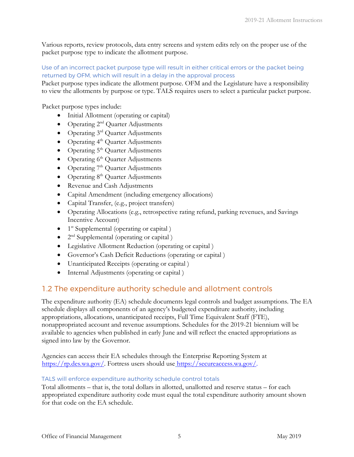Various reports, review protocols, data entry screens and system edits rely on the proper use of the packet purpose type to indicate the allotment purpose.

### Use of an incorrect packet purpose type will result in either critical errors or the packet being returned by OFM, which will result in a delay in the approval process

Packet purpose types indicate the allotment purpose. OFM and the Legislature have a responsibility to view the allotments by purpose or type. TALS requires users to select a particular packet purpose.

Packet purpose types include:

- Initial Allotment (operating or capital)
- Operating  $2<sup>nd</sup>$  Quarter Adjustments
- Operating 3<sup>rd</sup> Quarter Adjustments
- Operating  $4<sup>th</sup>$  Quarter Adjustments
- Operating  $5<sup>th</sup>$  Quarter Adjustments
- Operating  $6<sup>th</sup>$  Quarter Adjustments
- Operating  $7<sup>th</sup>$  Quarter Adjustments
- Operating  $8<sup>th</sup>$  Quarter Adjustments
- Revenue and Cash Adjustments
- Capital Amendment (including emergency allocations)
- Capital Transfer, (e.g., project transfers)
- Operating Allocations (e.g., retrospective rating refund, parking revenues, and Savings Incentive Account)
- $\bullet$  1<sup>st</sup> Supplemental (operating or capital)
- $2<sup>nd</sup>$  Supplemental (operating or capital)
- Legislative Allotment Reduction (operating or capital )
- Governor's Cash Deficit Reductions (operating or capital )
- Unanticipated Receipts (operating or capital )
- Internal Adjustments (operating or capital)

# <span id="page-6-0"></span>1.2 The expenditure authority schedule and allotment controls

The expenditure authority (EA) schedule documents legal controls and budget assumptions. The EA schedule displays all components of an agency's budgeted expenditure authority, including appropriations, allocations, unanticipated receipts, Full Time Equivalent Staff (FTE), nonappropriated account and revenue assumptions. Schedules for the 2019-21 biennium will be available to agencies when published in early June and will reflect the enacted appropriations as signed into law by the Governor.

Agencies can access their EA schedules through the Enterprise Reporting System at [https://rp.des.wa.gov/.](https://rp.des.wa.gov/) Fortress users should use [https://secureaccess.wa.gov/](file://filedepot.eclient.wa.lcl/OFM/Budget/Operations/Allotments/Allotment%20Instructions%20and%20Process%20docs/2019-21%20Allotment%20Instructions/%20)[.](https://secureaccess.wa.gov/)

### TALS will enforce expenditure authority schedule control totals

Total allotments – that is, the total dollars in allotted, unallotted and reserve status – for each appropriated expenditure authority code must equal the total expenditure authority amount shown for that code on the EA schedule.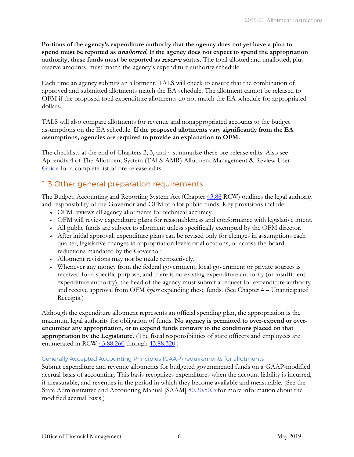**Portions of the agency's expenditure authority that the agency does not yet have a plan to spend must be reported as** unallotted. **If the agency does not expect to spend the appropriation authority, these funds must be reported as** reserve **status.** The total allotted and unallotted, plus reserve amounts, must match the agency's expenditure authority schedule.

Each time an agency submits an allotment, TALS will check to ensure that the combination of approved and submitted allotments match the EA schedule. The allotment cannot be released to OFM if the proposed total expenditure allotments do not match the EA schedule for appropriated dollars.

TALS will also compare allotments for revenue and nonappropriated accounts to the budget assumptions on the EA schedule. **If the proposed allotments vary significantly from the EA assumptions, agencies are required to provide an explanation to OFM.**

The checklists at the end of Chapters 2, 3, and 4 summarize these pre-release edits. Also see Appendix 4 of The Allotment System (TALS-AMR) Allotment Management & Review User [Guide](https://budgetlogon.ofm.wa.gov/library/TALS_AMR_Tutorial.pdf) [f](https://budgetlogon.ofm.wa.gov/library/TALS_AMR_Tutorial.pdf)or a complete list of pre-release edits.

### <span id="page-7-0"></span>1.3 Other general preparation requirements

The Budget, Accounting and Reporting System Act (Chapter [43.88](https://app.leg.wa.gov/RCW/default.aspx?cite=43.88) RCW) outlines the legal authority and responsibility of the Governor and OFM to allot public funds. Key provisions include:

- » OFM reviews all agency allotments for technical accuracy.
- » OFM will review expenditure plans for reasonableness and conformance with legislative intent.
- » All public funds are subject to allotment unless specifically exempted by the OFM director.
- » After initial approval, expenditure plans can be revised only for changes in assumptions each quarter, legislative changes in appropriation levels or allocations, or across-the-board reductions mandated by the Governor.
- » Allotment revisions may not be made retroactively.
- » Whenever any money from the federal government, local government or private sources is received for a specific purpose, and there is no existing expenditure authority (or insufficient expenditure authority), the head of the agency must submit a request for expenditure authority and receive approval from OFM *before* expending these funds. (See Chapter 4 – Unanticipated Receipts.)

Although the expenditure allotment represents an official spending plan, the appropriation is the maximum legal authority for obligation of funds. **No agency is permitted to over-expend or overencumber any appropriation, or to expend funds contrary to the conditions placed on that appropriation by the Legislature.** (The fiscal responsibilities of state officers and employees are enumerated in RCW [43.88.260](https://app.leg.wa.gov/RCW/default.aspx?cite=43.88.260) through [43.88.320.](https://app.leg.wa.gov/RCW/default.aspx?cite=43.88.310))

### Generally Accepted Accounting Principles (GAAP) requirements for allotments

Submit expenditure and revenue allotments for budgeted governmental funds on a GAAP-modified accrual basis of accounting. This basis recognizes expenditures when the account liability is incurred, if measurable, and revenues in the period in which they become available and measurable. (See the State Administrative and Accounting Manual [SAAM] [80.20.50.b](http://ofm.wa.gov/policy/80.20.htm) for more information about the modified accrual basis.)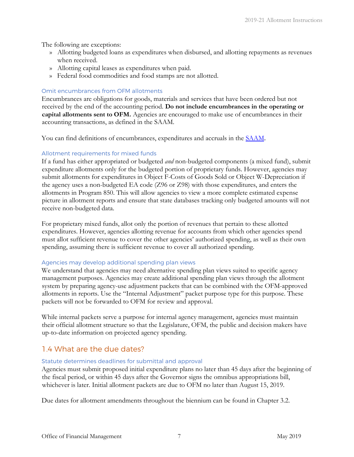The following are exceptions:

- » Allotting budgeted loans as expenditures when disbursed, and allotting repayments as revenues when received.
- » Allotting capital leases as expenditures when paid.
- » Federal food commodities and food stamps are not allotted.

### Omit encumbrances from OFM allotments

Encumbrances are obligations for goods, materials and services that have been ordered but not received by the end of the accounting period. **Do not include encumbrances in the operating or capital allotments sent to OFM.** Agencies are encouraged to make use of encumbrances in their accounting transactions, as defined in the SAAM.

You can find definitions of encumbrances, expenditures and accruals in the [SAAM](http://www.ofm.wa.gov/policy/default.asp).

### Allotment requirements for mixed funds

If a fund has either appropriated or budgeted *and* non-budgeted components (a mixed fund), submit expenditure allotments only for the budgeted portion of proprietary funds. However, agencies may submit allotments for expenditures in Object F-Costs of Goods Sold or Object W-Depreciation if the agency uses a non-budgeted EA code (Z96 or Z98) with those expenditures, and enters the allotments in Program 850. This will allow agencies to view a more complete estimated expense picture in allotment reports and ensure that state databases tracking only budgeted amounts will not receive non-budgeted data.

For proprietary mixed funds, allot only the portion of revenues that pertain to these allotted expenditures. However, agencies allotting revenue for accounts from which other agencies spend must allot sufficient revenue to cover the other agencies' authorized spending, as well as their own spending, assuming there is sufficient revenue to cover all authorized spending.

### Agencies may develop additional spending plan views

We understand that agencies may need alternative spending plan views suited to specific agency management purposes. Agencies may create additional spending plan views through the allotment system by preparing agency-use adjustment packets that can be combined with the OFM-approved allotments in reports. Use the "Internal Adjustment" packet purpose type for this purpose. These packets will not be forwarded to OFM for review and approval.

While internal packets serve a purpose for internal agency management, agencies must maintain their official allotment structure so that the Legislature, OFM, the public and decision makers have up-to-date information on projected agency spending.

### <span id="page-8-0"></span>1.4 What are the due dates?

### Statute determines deadlines for submittal and approval

Agencies must submit proposed initial expenditure plans no later than 45 days after the beginning of the fiscal period, or within 45 days after the Governor signs the omnibus appropriations bill, whichever is later. Initial allotment packets are due to OFM no later than August 15, 2019.

Due dates for allotment amendments throughout the biennium can be found in Chapter 3.2.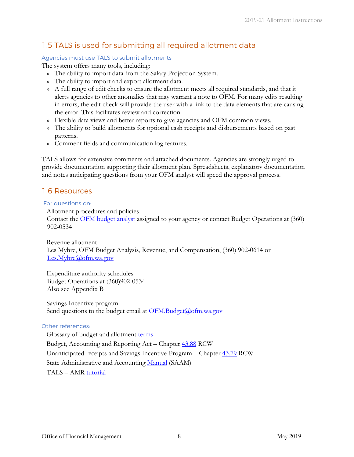# <span id="page-9-0"></span>1.5 TALS is used for submitting all required allotment data

### Agencies must use TALS to submit allotments

The system offers many tools, including:

- » The ability to import data from the Salary Projection System.
- » The ability to import and export allotment data.
- » A full range of edit checks to ensure the allotment meets all required standards, and that it alerts agencies to other anomalies that may warrant a note to OFM. For many edits resulting in errors, the edit check will provide the user with a link to the data elements that are causing the error. This facilitates review and correction.
- » Flexible data views and better reports to give agencies and OFM common views.
- » The ability to build allotments for optional cash receipts and disbursements based on past patterns.
- » Comment fields and communication log features.

TALS allows for extensive comments and attached documents. Agencies are strongly urged to provide documentation supporting their allotment plan. Spreadsheets, explanatory documentation and notes anticipating questions from your OFM analyst will speed the approval process.

# <span id="page-9-1"></span>1.6 Resources

### For questions on:

Allotment procedures and policies

Contact the [OFM budget analyst](http://www.ofm.wa.gov/budget/contacts/default.asp) assigned to your agency or contact Budget Operations at (360) 902-0534

Revenue allotment Les Myhre, OFM Budget Analysis, Revenue, and Compensation, (360) 902-0614 or [Les.Myhre@ofm.wa.gov](mailto:.mailto:Les.Myhre@ofm.wa.gov)

Expenditure authority schedules Budget Operations at (360)902-0534 Also see Appendix B

Savings Incentive program Send questions to the budget email at [OFM.Budget@ofm.wa.gov](mailto:OFM.Budget@ofm.wa.gov)

### Other references:

Glossary of budget and allotment [terms](http://www.ofm.wa.gov/budget/instructions/glossary.pdf) Budget, Accounting and Reporting Act – Chapter [43.88](http://apps.leg.wa.gov/RCW/default.aspx?cite=43.88) RCW Unanticipated receipts and Savings Incentive Program – Chapter [43.79](http://apps.leg.wa.gov/RCW/default.aspx?cite=43.79) RCW State Administrative and Accounting [Manual](http://www.ofm.wa.gov/policy/default.asp) (SAAM) TALS – AMR [tutorial](http://bass.ofm.wa.gov/BassPR/library/TALS_AMR_Tutorial.pdf)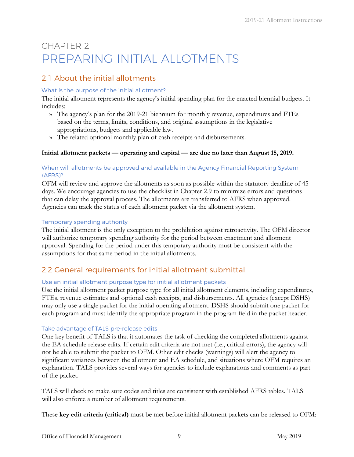# <span id="page-10-0"></span>CHAPTER 2 PREPARING INITIAL ALLOTMENTS

# <span id="page-10-1"></span>2.1 About the initial allotments

### What is the purpose of the initial allotment?

The initial allotment represents the agency's initial spending plan for the enacted biennial budgets. It includes:

- » The agency's plan for the 2019-21 biennium for monthly revenue, expenditures and FTEs based on the terms, limits, conditions, and original assumptions in the legislative appropriations, budgets and applicable law.
- » The related optional monthly plan of cash receipts and disbursements.

### **Initial allotment packets — operating and capital — are due no later than August 15, 2019.**

### When will allotments be approved and available in the Agency Financial Reporting System (AFRS)?

OFM will review and approve the allotments as soon as possible within the statutory deadline of 45 days. We encourage agencies to use the checklist in Chapter 2.9 to minimize errors and questions that can delay the approval process. The allotments are transferred to AFRS when approved. Agencies can track the status of each allotment packet via the allotment system.

### Temporary spending authority

The initial allotment is the only exception to the prohibition against retroactivity. The OFM director will authorize temporary spending authority for the period between enactment and allotment approval. Spending for the period under this temporary authority must be consistent with the assumptions for that same period in the initial allotments.

# <span id="page-10-2"></span>2.2 General requirements for initial allotment submittal

### Use an initial allotment purpose type for initial allotment packets

Use the initial allotment packet purpose type for all initial allotment elements, including expenditures, FTEs, revenue estimates and optional cash receipts, and disbursements. All agencies (except DSHS) may only use a single packet for the initial operating allotment. DSHS should submit one packet for each program and must identify the appropriate program in the program field in the packet header.

### Take advantage of TALS pre-release edits

One key benefit of TALS is that it automates the task of checking the completed allotments against the EA schedule release edits. If certain edit criteria are not met (i.e., critical errors), the agency will not be able to submit the packet to OFM. Other edit checks (warnings) will alert the agency to significant variances between the allotment and EA schedule, and situations where OFM requires an explanation. TALS provides several ways for agencies to include explanations and comments as part of the packet.

TALS will check to make sure codes and titles are consistent with established AFRS tables. TALS will also enforce a number of allotment requirements.

These **key edit criteria (critical)** must be met before initial allotment packets can be released to OFM: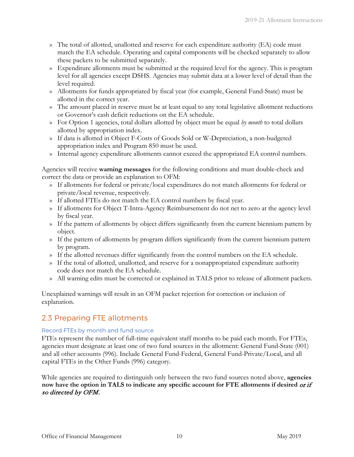- » The total of allotted, unallotted and reserve for each expenditure authority (EA) code must match the EA schedule. Operating and capital components will be checked separately to allow these packets to be submitted separately.
- » Expenditure allotments must be submitted at the required level for the agency. This is program level for all agencies except DSHS. Agencies may submit data at a lower level of detail than the level required.
- » Allotments for funds appropriated by fiscal year (for example, General Fund-State) must be allotted in the correct year.
- » The amount placed in reserve must be at least equal to any total legislative allotment reductions or Governor's cash deficit reductions on the EA schedule.
- » For Option 1 agencies, total dollars allotted by object must be equal *by month* to total dollars allotted by appropriation index.
- » If data is allotted in Object F-Costs of Goods Sold or W-Depreciation, a non-budgeted appropriation index and Program 850 must be used.
- » Internal agency expenditure allotments cannot exceed the appropriated EA control numbers.

Agencies will receive **warning messages** for the following conditions and must double-check and correct the data or provide an explanation to OFM:

- » If allotments for federal or private/local expenditures do not match allotments for federal or private/local revenue, respectively.
- » If allotted FTEs do not match the EA control numbers by fiscal year.
- » If allotments for Object T-Intra-Agency Reimbursement do not net to zero at the agency level by fiscal year.
- » If the pattern of allotments by object differs significantly from the current biennium pattern by object.
- » If the pattern of allotments by program differs significantly from the current biennium pattern by program.
- » If the allotted revenues differ significantly from the control numbers on the EA schedule.
- » If the total of allotted, unallotted, and reserve for a nonappropriated expenditure authority code does not match the EA schedule.
- » All warning edits must be corrected or explained in TALS prior to release of allotment packets.

Unexplained warnings will result in an OFM packet rejection for correction or inclusion of explanation.

### <span id="page-11-0"></span>2.3 Preparing FTE allotments

### Record FTEs by month and fund source

FTEs represent the number of full-time equivalent staff months to be paid each month. For FTEs, agencies must designate at least one of two fund sources in the allotment: General Fund-State (001) and all other accounts (996). Include General Fund-Federal, General Fund-Private/Local, and all capital FTEs in the Other Funds (996) category.

While agencies are required to distinguish only between the two fund sources noted above, **agencies now have the option in TALS to indicate any specific account for FTE allotments if desired** or if so directed by OFM.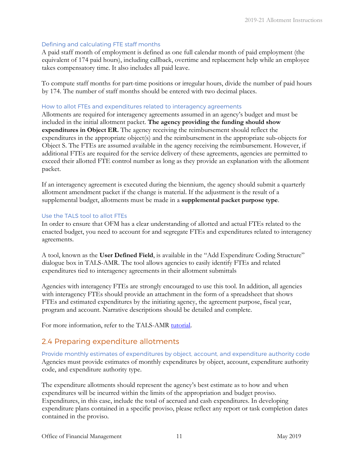### Defining and calculating FTE staff months

A paid staff month of employment is defined as one full calendar month of paid employment (the equivalent of 174 paid hours), including callback, overtime and replacement help while an employee takes compensatory time. It also includes all paid leave.

To compute staff months for part-time positions or irregular hours, divide the number of paid hours by 174. The number of staff months should be entered with two decimal places.

### How to allot FTEs and expenditures related to interagency agreements

Allotments are required for interagency agreements assumed in an agency's budget and must be included in the initial allotment packet. **The agency providing the funding should show expenditures in Object ER.** The agency receiving the reimbursement should reflect the expenditures in the appropriate object(s) and the reimbursement in the appropriate sub-objects for Object S. The FTEs are assumed available in the agency receiving the reimbursement. However, if additional FTEs are required for the service delivery of these agreements, agencies are permitted to exceed their allotted FTE control number as long as they provide an explanation with the allotment packet.

If an interagency agreement is executed during the biennium, the agency should submit a quarterly allotment amendment packet if the change is material. If the adjustment is the result of a supplemental budget, allotments must be made in a **supplemental packet purpose type**.

### Use the TALS tool to allot FTEs

In order to ensure that OFM has a clear understanding of allotted and actual FTEs related to the enacted budget, you need to account for and segregate FTEs and expenditures related to interagency agreements.

A tool, known as the **User Defined Field**, is available in the "Add Expenditure Coding Structure" dialogue box in TALS-AMR. The tool allows agencies to easily identify FTEs and related expenditures tied to interagency agreements in their allotment submittals

Agencies with interagency FTEs are strongly encouraged to use this tool. In addition, all agencies with interagency FTEs should provide an attachment in the form of a spreadsheet that shows FTEs and estimated expenditures by the initiating agency, the agreement purpose, fiscal year, program and account. Narrative descriptions should be detailed and complete.

For more information, refer to the TALS-AMR [tutorial.](http://bass.ofm.wa.gov/BassPR/library/TALS_AMR_Tutorial.pdf)

# <span id="page-12-0"></span>2.4 Preparing expenditure allotments

Provide monthly estimates of expenditures by object, account, and expenditure authority code Agencies must provide estimates of monthly expenditures by object, account, expenditure authority code, and expenditure authority type.

The expenditure allotments should represent the agency's best estimate as to how and when expenditures will be incurred within the limits of the appropriation and budget proviso. Expenditures, in this case, include the total of accrued and cash expenditures. In developing expenditure plans contained in a specific proviso, please reflect any report or task completion dates contained in the proviso.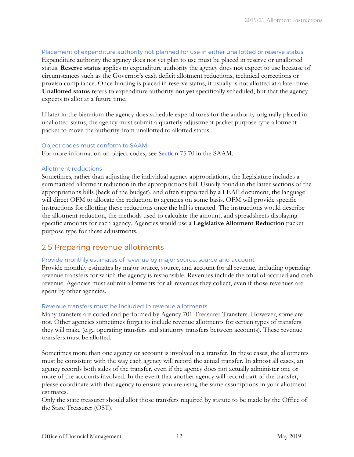### Placement of expenditure authority not planned for use in either unallotted or reserve status Expenditure authority the agency does not yet plan to use must be placed in reserve or unallotted status. **Reserve status** applies to expenditure authority the agency does **not** expect to use because of circumstances such as the Governor's cash deficit allotment reductions, technical corrections or proviso compliance. Once funding is placed in reserve status, it usually is not allotted at a later time. **Unallotted status** refers to expenditure authority **not yet** specifically scheduled, but that the agency expects to allot at a future time.

If later in the biennium the agency does schedule expenditures for the authority originally placed in unallotted status, the agency must submit a quarterly adjustment packet purpose type allotment packet to move the authority from unallotted to allotted status.

#### Object codes must conform to SAAM

For more information on object codes, see [Section 75.70](http://www.ofm.wa.gov/policy/75.70.htm) [i](http://www.ofm.wa.gov/policy/75.70.htm)n the SAAM.

### Allotment reductions

Sometimes, rather than adjusting the individual agency appropriations, the Legislature includes a summarized allotment reduction in the appropriations bill. Usually found in the latter sections of the appropriations bills (back of the budget), and often supported by a LEAP document, the language will direct OFM to allocate the reduction to agencies on some basis. OFM will provide specific instructions for allotting these reductions once the bill is enacted. The instructions would describe the allotment reduction, the methods used to calculate the amount, and spreadsheets displaying specific amounts for each agency. Agencies would use a **Legislative Allotment Reduction** packet purpose type for these adjustments.

### <span id="page-13-0"></span>2.5 Preparing revenue allotments

### Provide monthly estimates of revenue by major source, source and account

Provide monthly estimates by major source, source, and account for all revenue, including operating revenue transfers for which the agency is responsible. Revenues include the total of accrued and cash revenue. Agencies must submit allotments for all revenues they collect, even if those revenues are spent by other agencies.

### Revenue transfers must be included in revenue allotments

Many transfers are coded and performed by Agency 701-Treasurer Transfers. However, some are not. Other agencies sometimes forget to include revenue allotments for certain types of transfers they will make (e.g., operating transfers and statutory transfers between accounts). These revenue transfers must be allotted.

Sometimes more than one agency or account is involved in a transfer. In these cases, the allotments must be consistent with the way each agency will record the actual transfer. In almost all cases, an agency records both sides of the transfer, even if the agency does not actually administer one or more of the accounts involved. In the event that another agency will record part of the transfer, please coordinate with that agency to ensure you are using the same assumptions in your allotment estimates.

Only the state treasurer should allot those transfers required by statute to be made by the Office of the State Treasurer (OST).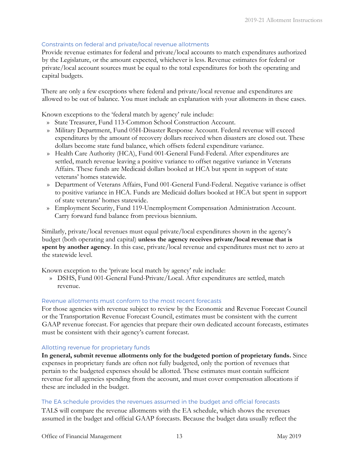### Constraints on federal and private/local revenue allotments

Provide revenue estimates for federal and private/local accounts to match expenditures authorized by the Legislature, or the amount expected, whichever is less. Revenue estimates for federal or private/local account sources must be equal to the total expenditures for both the operating and capital budgets.

There are only a few exceptions where federal and private/local revenue and expenditures are allowed to be out of balance. You must include an explanation with your allotments in these cases.

Known exceptions to the 'federal match by agency' rule include:

- » State Treasurer, Fund 113-Common School Construction Account.
- » Military Department, Fund 05H-Disaster Response Account. Federal revenue will exceed expenditures by the amount of recovery dollars received when disasters are closed out. These dollars become state fund balance, which offsets federal expenditure variance.
- » Health Care Authority (HCA), Fund 001-General Fund-Federal. After expenditures are settled, match revenue leaving a positive variance to offset negative variance in Veterans Affairs. These funds are Medicaid dollars booked at HCA but spent in support of state veterans' homes statewide.
- » Department of Veterans Affairs, Fund 001-General Fund-Federal. Negative variance is offset to positive variance in HCA. Funds are Medicaid dollars booked at HCA but spent in support of state veterans' homes statewide.
- » Employment Security, Fund 119-Unemployment Compensation Administration Account. Carry forward fund balance from previous biennium.

Similarly, private/local revenues must equal private/local expenditures shown in the agency's budget (both operating and capital) **unless the agency receives private/local revenue that is spent by another agency**. In this case, private/local revenue and expenditures must net to zero at the statewide level.

Known exception to the 'private local match by agency' rule include:

» DSHS, Fund 001-General Fund-Private/Local. After expenditures are settled, match revenue.

### Revenue allotments must conform to the most recent forecasts

For those agencies with revenue subject to review by the Economic and Revenue Forecast Council or the Transportation Revenue Forecast Council, estimates must be consistent with the current GAAP revenue forecast. For agencies that prepare their own dedicated account forecasts, estimates must be consistent with their agency's current forecast.

### Allotting revenue for proprietary funds

**In general, submit revenue allotments only for the budgeted portion of proprietary funds.** Since expenses in proprietary funds are often not fully budgeted, only the portion of revenues that pertain to the budgeted expenses should be allotted. These estimates must contain sufficient revenue for all agencies spending from the account, and must cover compensation allocations if these are included in the budget.

### The EA schedule provides the revenues assumed in the budget and official forecasts

TALS will compare the revenue allotments with the EA schedule, which shows the revenues assumed in the budget and official GAAP forecasts. Because the budget data usually reflect the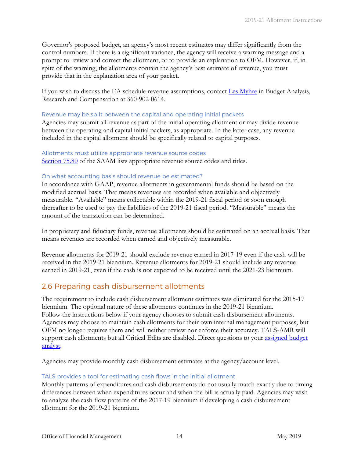Governor's proposed budget, an agency's most recent estimates may differ significantly from the control numbers. If there is a significant variance, the agency will receive a warning message and a prompt to review and correct the allotment, or to provide an explanation to OFM. However, if, in spite of the warning, the allotments contain the agency's best estimate of revenue, you must provide that in the explanation area of your packet.

If you wish to discuss the EA schedule revenue assumptions, contact [Les Myhre](mailto:Les.Myhre@ofm.wa.gov) in Budget Analysis, Research and Compensation at 360-902-0614.

### Revenue may be split between the capital and operating initial packets

Agencies may submit all revenue as part of the initial operating allotment or may divide revenue between the operating and capital initial packets, as appropriate. In the latter case, any revenue included in the capital allotment should be specifically related to capital purposes.

#### Allotments must utilize appropriate revenue source codes

[Section 75.80](http://www.ofm.wa.gov/policy/75.80.htm) of the SAAM lists appropriate revenue source codes and titles.

### On what accounting basis should revenue be estimated?

In accordance with GAAP, revenue allotments in governmental funds should be based on the modified accrual basis. That means revenues are recorded when available and objectively measurable. "Available" means collectable within the 2019-21 fiscal period or soon enough thereafter to be used to pay the liabilities of the 2019-21 fiscal period. "Measurable" means the amount of the transaction can be determined.

In proprietary and fiduciary funds, revenue allotments should be estimated on an accrual basis. That means revenues are recorded when earned and objectively measurable.

Revenue allotments for 2019-21 should exclude revenue earned in 2017-19 even if the cash will be received in the 2019-21 biennium. Revenue allotments for 2019-21 should include any revenue earned in 2019-21, even if the cash is not expected to be received until the 2021-23 biennium.

### <span id="page-15-0"></span>2.6 Preparing cash disbursement allotments

The requirement to include cash disbursement allotment estimates was eliminated for the 2015-17 biennium. The optional nature of these allotments continues in the 2019-21 biennium. Follow the instructions below if your agency chooses to submit cash disbursement allotments. Agencies may choose to maintain cash allotments for their own internal management purposes, but OFM no longer requires them and will neither review nor enforce their accuracy. TALS-AMR will support cash allotments but all Critical Edits are disabled. Direct questions to your [assigned](http://ofm.wa.gov/budget/contacts/default.asp) budget [analyst.](http://ofm.wa.gov/budget/contacts/default.asp) 

Agencies may provide monthly cash disbursement estimates at the agency/account level.

### TALS provides a tool for estimating cash flows in the initial allotment

Monthly patterns of expenditures and cash disbursements do not usually match exactly due to timing differences between when expenditures occur and when the bill is actually paid. Agencies may wish to analyze the cash flow patterns of the 2017-19 biennium if developing a cash disbursement allotment for the 2019-21 biennium.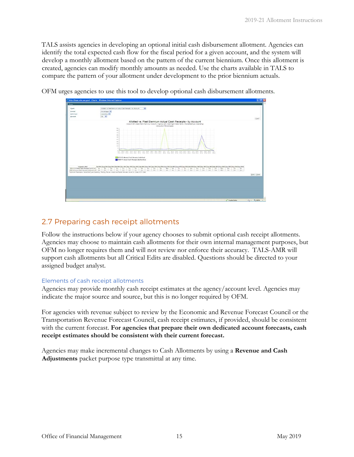TALS assists agencies in developing an optional initial cash disbursement allotment. Agencies can identify the total expected cash flow for the fiscal period for a given account, and the system will develop a monthly allotment based on the pattern of the current biennium. Once this allotment is created, agencies can modify monthly amounts as needed. Use the charts available in TALS to compare the pattern of your allotment under development to the prior biennium actuals.

|                                                                          | C http://bass.cfm.wa.gov/ - Charts - Windows Internet Explorer                                                                                                                                                                                                                                              | <b>CIEX</b>      |
|--------------------------------------------------------------------------|-------------------------------------------------------------------------------------------------------------------------------------------------------------------------------------------------------------------------------------------------------------------------------------------------------------|------------------|
| $O = 4$                                                                  |                                                                                                                                                                                                                                                                                                             |                  |
| Chart                                                                    | Alcohol vs. Past Bannum Actual Cash Banachi / by Account<br>$\mathbf{v}$                                                                                                                                                                                                                                    |                  |
| <b>Portriet</b>                                                          | Parcentages 56                                                                                                                                                                                                                                                                                              |                  |
| <b>Detailves</b>                                                         | covered W                                                                                                                                                                                                                                                                                                   |                  |
| <b>Arrivent</b>                                                          | old M                                                                                                                                                                                                                                                                                                       |                  |
|                                                                          |                                                                                                                                                                                                                                                                                                             | [Low]            |
|                                                                          | Allotted vs. Past Biennium Actual Cash Receipts - by Account<br>Account \$51 (State Retrol Highway Account)   Agency \$26 (Vashington State Retro)   RecordiateType (Operating)                                                                                                                             |                  |
|                                                                          | Livinguita in Percentages)                                                                                                                                                                                                                                                                                  |                  |
|                                                                          | 50<br>in.                                                                                                                                                                                                                                                                                                   |                  |
|                                                                          | 40                                                                                                                                                                                                                                                                                                          |                  |
|                                                                          | 55                                                                                                                                                                                                                                                                                                          |                  |
|                                                                          | <b>SER</b><br>22                                                                                                                                                                                                                                                                                            |                  |
|                                                                          | 25                                                                                                                                                                                                                                                                                                          |                  |
|                                                                          | 13                                                                                                                                                                                                                                                                                                          |                  |
|                                                                          | 10                                                                                                                                                                                                                                                                                                          |                  |
|                                                                          |                                                                                                                                                                                                                                                                                                             |                  |
|                                                                          | Any Say Oct Hoy Day Jay Fak Mar Apt May Jun Jul Aug Say Oct Now Day Jay Tab Mar Apt May Jun<br>Total C                                                                                                                                                                                                      |                  |
|                                                                          |                                                                                                                                                                                                                                                                                                             |                  |
|                                                                          | 12011-13 Abotted Cash Paceguts (cold from)                                                                                                                                                                                                                                                                  |                  |
|                                                                          | 2000-11 Appal Cash Receipts (dashed live)                                                                                                                                                                                                                                                                   |                  |
|                                                                          |                                                                                                                                                                                                                                                                                                             |                  |
|                                                                          |                                                                                                                                                                                                                                                                                                             |                  |
|                                                                          |                                                                                                                                                                                                                                                                                                             |                  |
| <b>Easpered Label</b><br>2011-12 Allened Cash Receipts (sold line)   1-1 | 3d FF1 Aug FF1 Aug FF1 (bet FF1 Nov FF1 Das FF1 3ac FF1 Hab FF1 Hav FF1 Apr FF1 Hay FF1 Jan FF1 3d FF2 Aug FF2 (kap FF2 Jan FF2 Jan FF2 Jan FF2 Jan FF2 Jan FF2 Jan FF2 Jan FF2 Jan FF2 Jan FF2 Jan FF2 Jan FF2 Jan FF2 Jan FF<br>2.0<br>14.0<br>$1 - 1$<br>4.2<br>1.1<br>4.4<br>71.7<br>0.8<br>340<br>3.9. |                  |
| 2009:11 Autual Cash Receipts (deshed line) 2.8                           | 쁞<br>$\frac{33}{24}$<br>$\frac{454}{32}$<br>$\frac{44}{34}$<br>쁖<br>븦<br>蓝<br>븦<br>$rac{10}{34}$<br>품<br>꾶<br>$\frac{\partial \mathcal{F}}{\partial \mathbf{z}}$<br>픞<br>1.9<br>38<br>35.5<br>7.5<br>38 <sup>1</sup><br>2.5<br>A4<br>2.7<br>E4<br>$-9.8 -$                                                  |                  |
|                                                                          | "Anthone Parameters Facient/are [Deareing: Fanding Review & Azorover Packet Statueser Antual Di, Cooke 4310 Date                                                                                                                                                                                            | <b>Dred Dree</b> |

OFM urges agencies to use this tool to develop optional cash disbursement allotments.

# <span id="page-16-0"></span>2.7 Preparing cash receipt allotments

Follow the instructions below if your agency chooses to submit optional cash receipt allotments. Agencies may choose to maintain cash allotments for their own internal management purposes, but OFM no longer requires them and will not review nor enforce their accuracy. TALS-AMR will support cash allotments but all Critical Edits are disabled. Questions should be directed to your [assigned budget analyst.](http://ofm.wa.gov/budget/contacts/default.asp)

### Elements of cash receipt allotments

Agencies may provide monthly cash receipt estimates at the agency/account level. Agencies may indicate the major source and source, but this is no longer required by OFM.

For agencies with revenue subject to review by the Economic and Revenue Forecast Council or the Transportation Revenue Forecast Council, cash receipt estimates, if provided, should be consistent with the current forecast. For agencies that prepare their own dedicated account forecasts, cash **receipt estimates should be consistent with their current forecast.**

Agencies may make incremental changes to Cash Allotments by using a **Revenue and Cash Adjustments** packet purpose type transmittal at any time.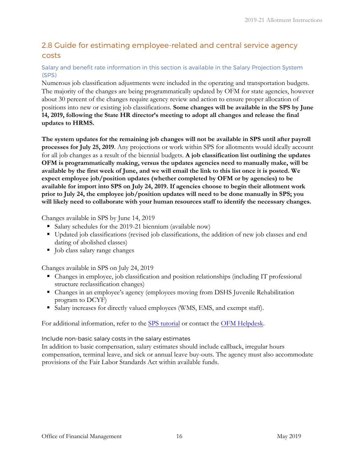# <span id="page-17-0"></span>2.8 Guide for estimating employee-related and central service agency costs

### Salary and benefit rate information in this section is available in the Salary Projection System (SPS)

Numerous job classification adjustments were included in the operating and transportation budgets. The majority of the changes are being programmatically updated by OFM for state agencies, however about 30 percent of the changes require agency review and action to ensure proper allocation of positions into new or existing job classifications. **Some changes will be available in the SPS by June 14, 2019, following the State HR director's meeting to adopt all changes and release the final updates to HRMS.**

**The system updates for the remaining job changes will not be available in SPS until after payroll processes for July 25, 2019**. Any projections or work within SPS for allotments would ideally account for all job changes as a result of the biennial budgets. **A job classification list outlining the updates OFM is programmatically making, versus the updates agencies need to manually make, will be available by the first week of June, and we will email the link to this list once it is posted. We expect employee job/position updates (whether completed by OFM or by agencies) to be available for import into SPS on July 24, 2019. If agencies choose to begin their allotment work prior to July 24, the employee job/position updates will need to be done manually in SPS; you will likely need to collaborate with your human resources staff to identify the necessary changes.**

Changes available in SPS by June 14, 2019

- Salary schedules for the 2019-21 biennium (available now)
- Updated job classifications (revised job classifications, the addition of new job classes and end dating of abolished classes)
- $\blacksquare$  Job class salary range changes

Changes available in SPS on July 24, 2019

- Changes in employee, job classification and position relationships (including IT professional structure reclassification changes)
- Changes in an employee's agency (employees moving from DSHS Juvenile Rehabilitation program to DCYF)
- Salary increases for directly valued employees (WMS, EMS, and exempt staff).

For additional information, refer to the [SPS tutorial o](https://budgetlogon.ofm.wa.gov/library/SPSTutorial.pdf)r contact the [OFM Helpdesk](mailto:HereToHelp@ofm.wa.gov).

Include non-basic salary costs in the salary estimates

In addition to basic compensation, salary estimates should include callback, irregular hours compensation, terminal leave, and sick or annual leave buy-outs. The agency must also accommodate provisions of the Fair Labor Standards Act within available funds.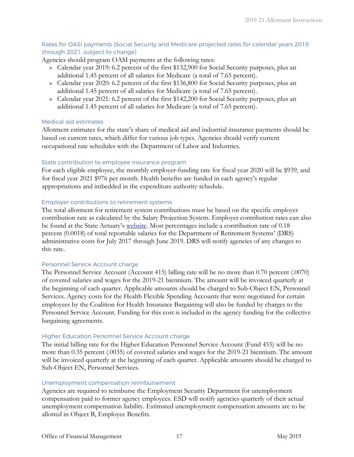### Rates for OASI payments (Social Security and Medicare projected rates for calendar years 2019 through 2021, subject to change)

Agencies should program OASI payments at the following rates:

- » Calendar year 2019: 6.2 percent of the first \$132,900 for Social Security purposes, plus an additional 1.45 percent of all salaries for Medicare (a total of 7.65 percent).
- » Calendar year 2020: 6.2 percent of the first \$136,800 for Social Security purposes, plus an additional 1.45 percent of all salaries for Medicare (a total of 7.65 percent).
- » Calendar year 2021: 6.2 percent of the first \$142,200 for Social Security purposes, plus an additional 1.45 percent of all salaries for Medicare (a total of 7.65 percent).

### Medical aid estimates

Allotment estimates for the state's share of medical aid and industrial insurance payments should be based on current rates, which differ for various job types. Agencies should verify current occupational rate schedules with the Department of Labor and Industries.

### State contribution to employee insurance program

For each eligible employee, the monthly employer-funding rate for fiscal year 2020 will be \$939, and for fiscal year 2021 \$976 per month. Health benefits are funded in each agency's regular appropriations and imbedded in the expenditure authority schedule.

### Employer contributions to retirement systems

The total allotment for retirement system contributions must be based on the specific employer contribution rate as calculated by the Salary Projection System. Employer contribution rates can also be found at the State Actuary's [website.](http://leg.wa.gov/osa/pensionfunding/Pages/Contribution-Rates.aspx) Most percentages include a contribution rate of 0.18 percent (0.0018) of total reportable salaries for the Department of Retirement Systems' (DRS) administrative costs for July 2017 through June 2019. DRS will notify agencies of any changes to this rate.

### Personnel Service Account charge

The Personnel Service Account (Account 415) billing rate will be no more than 0.70 percent (.0070) of covered salaries and wages for the 2019-21 biennium. The amount will be invoiced quarterly at the beginning of each quarter. Applicable amounts should be charged to Sub-Object EN, Personnel Services. Agency costs for the Health Flexible Spending Accounts that were negotiated for certain employees by the Coalition for Health Insurance Bargaining will also be funded by charges to the Personnel Service Account. Funding for this cost is included in the agency funding for the collective bargaining agreements.

### Higher Education Personnel Service Account charge

The initial billing rate for the Higher Education Personnel Service Account (Fund 455) will be no more than 0.35 percent (.0035) of covered salaries and wages for the 2019-21 biennium. The amount will be invoiced quarterly at the beginning of each quarter. Applicable amounts should be charged to Sub-Object EN, Personnel Services.

### Unemployment compensation reimbursement

Agencies are required to reimburse the Employment Security Department for unemployment compensation paid to former agency employees. ESD will notify agencies quarterly of their actual unemployment compensation liability. Estimated unemployment compensation amounts are to be allotted in Object B, Employee Benefits.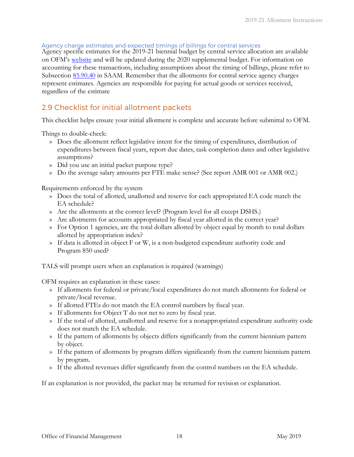### Agency charge estimates and expected timings of billings for central services

Agency specific estimates for the 2019-21 biennial budget by central service allocation are available on OFM's [website](https://ofm.wa.gov/sites/default/files/public/budget/instructions/other/2019-21CentralServiceAgencyCharges.pdf) and will be updated during the 2020 supplemental budget. For information on accounting for these transactions, including assumptions about the timing of billings, please refer to Subsection 85.90.40 in [SAAM.](http://www.ofm.wa.gov/policy/85.90.htm) Remember that the allotments for central service agency charges represent estimates. Agencies are responsible for paying for actual goods or services received, regardless of the estimate

### <span id="page-19-0"></span>2.9 Checklist for initial allotment packets

This checklist helps ensure your initial allotment is complete and accurate before submittal to OFM.

Things to double-check:

- » Does the allotment reflect legislative intent for the timing of expenditures, distribution of expenditures between fiscal years, report due dates, task completion dates and other legislative assumptions?
- » Did you use an initial packet purpose type?
- » Do the average salary amounts per FTE make sense? (See report AMR 001 or AMR 002.)

Requirements enforced by the system

- » Does the total of allotted, unallotted and reserve for each appropriated EA code match the EA schedule?
- » Are the allotments at the correct level? (Program level for all except DSHS.)
- » Are allotments for accounts appropriated by fiscal year allotted in the correct year?
- » For Option 1 agencies, are the total dollars allotted by object equal by month to total dollars allotted by appropriation index?
- » If data is allotted in object F or W, is a non-budgeted expenditure authority code and Program 850 used?

TALS will prompt users when an explanation is required (warnings)

OFM requires an explanation in these cases:

- » If allotments for federal or private/local expenditures do not match allotments for federal or private/local revenue.
- » If allotted FTEs do not match the EA control numbers by fiscal year.
- » If allotments for Object T do not net to zero by fiscal year.
- » If the total of allotted, unallotted and reserve for a nonappropriated expenditure authority code does not match the EA schedule.
- » If the pattern of allotments by objects differs significantly from the current biennium pattern by object.
- » If the pattern of allotments by program differs significantly from the current biennium pattern by program.
- » If the allotted revenues differ significantly from the control numbers on the EA schedule.

<span id="page-19-1"></span>If an explanation is not provided, the packet may be returned for revision or explanation.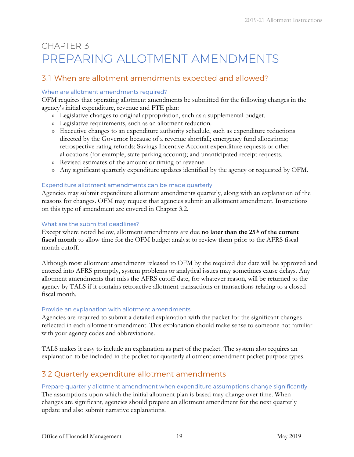# CHAPTER 3 PREPARING ALLOTMENT AMENDMENTS

# <span id="page-20-0"></span>3.1 When are allotment amendments expected and allowed?

### When are allotment amendments required?

OFM requires that operating allotment amendments be submitted for the following changes in the agency's initial expenditure, revenue and FTE plan:

- » Legislative changes to original appropriation, such as a supplemental budget.
- » Legislative requirements, such as an allotment reduction.
- » Executive changes to an expenditure authority schedule, such as expenditure reductions directed by the Governor because of a revenue shortfall; emergency fund allocations; retrospective rating refunds; Savings Incentive Account expenditure requests or other allocations (for example, state parking account); and unanticipated receipt requests.
- » Revised estimates of the amount or timing of revenue.
- » Any significant quarterly expenditure updates identified by the agency or requested by OFM.

### Expenditure allotment amendments can be made quarterly

Agencies may submit expenditure allotment amendments quarterly, along with an explanation of the reasons for changes. OFM may request that agencies submit an allotment amendment. Instructions on this type of amendment are covered in Chapter 3.2.

### What are the submittal deadlines?

Except where noted below, allotment amendments are due **no later than the 25th of the current fiscal month** to allow time for the OFM budget analyst to review them prior to the AFRS fiscal month cutoff.

Although most allotment amendments released to OFM by the required due date will be approved and entered into AFRS promptly, system problems or analytical issues may sometimes cause delays. Any allotment amendments that miss the AFRS cutoff date, for whatever reason, will be returned to the agency by TALS if it contains retroactive allotment transactions or transactions relating to a closed fiscal month.

### Provide an explanation with allotment amendments

Agencies are required to submit a detailed explanation with the packet for the significant changes reflected in each allotment amendment. This explanation should make sense to someone not familiar with your agency codes and abbreviations.

TALS makes it easy to include an explanation as part of the packet. The system also requires an explanation to be included in the packet for quarterly allotment amendment packet purpose types.

# <span id="page-20-1"></span>3.2 Quarterly expenditure allotment amendments

### Prepare quarterly allotment amendment when expenditure assumptions change significantly

The assumptions upon which the initial allotment plan is based may change over time. When changes are significant, agencies should prepare an allotment amendment for the next quarterly update and also submit narrative explanations.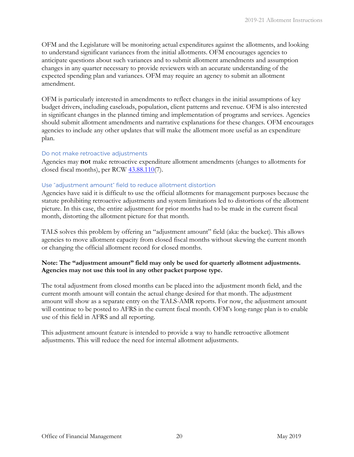OFM and the Legislature will be monitoring actual expenditures against the allotments, and looking to understand significant variances from the initial allotments. OFM encourages agencies to anticipate questions about such variances and to submit allotment amendments and assumption changes in any quarter necessary to provide reviewers with an accurate understanding of the expected spending plan and variances. OFM may require an agency to submit an allotment amendment.

OFM is particularly interested in amendments to reflect changes in the initial assumptions of key budget drivers, including caseloads, population, client patterns and revenue. OFM is also interested in significant changes in the planned timing and implementation of programs and services. Agencies should submit allotment amendments and narrative explanations for these changes. OFM encourages agencies to include any other updates that will make the allotment more useful as an expenditure plan.

### Do not make retroactive adjustments

Agencies may **not** make retroactive expenditure allotment amendments (changes to allotments for closed fiscal months), per RCW  $43.88.110(7)$ .

#### Use "adjustment amount" field to reduce allotment distortion

Agencies have said it is difficult to use the official allotments for management purposes because the statute prohibiting retroactive adjustments and system limitations led to distortions of the allotment picture. In this case, the entire adjustment for prior months had to be made in the current fiscal month, distorting the allotment picture for that month.

TALS solves this problem by offering an "adjustment amount" field (aka: the bucket). This allows agencies to move allotment capacity from closed fiscal months without skewing the current month or changing the official allotment record for closed months.

### **Note: The "adjustment amount" field may only be used for quarterly allotment adjustments. Agencies may not use this tool in any other packet purpose type.**

The total adjustment from closed months can be placed into the adjustment month field, and the current month amount will contain the actual change desired for that month. The adjustment amount will show as a separate entry on the TALS-AMR reports. For now, the adjustment amount will continue to be posted to AFRS in the current fiscal month. OFM's long-range plan is to enable use of this field in AFRS and all reporting.

This adjustment amount feature is intended to provide a way to handle retroactive allotment adjustments. This will reduce the need for internal allotment adjustments.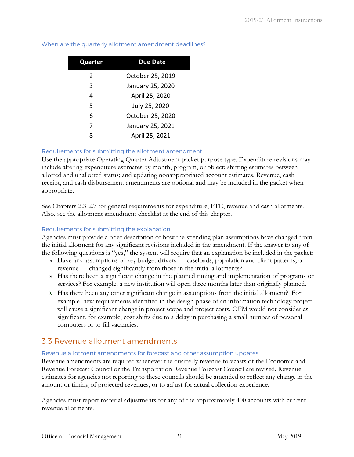| Quarter       | <b>Due Date</b>  |
|---------------|------------------|
| $\mathcal{P}$ | October 25, 2019 |
| 3             | January 25, 2020 |
| 4             | April 25, 2020   |
| 5             | July 25, 2020    |
| 6             | October 25, 2020 |
| 7             | January 25, 2021 |
| ጸ             | April 25, 2021   |

### When are the quarterly allotment amendment deadlines?

### Requirements for submitting the allotment amendment

Use the appropriate Operating Quarter Adjustment packet purpose type. Expenditure revisions may include altering expenditure estimates by month, program, or object; shifting estimates between allotted and unallotted status; and updating nonappropriated account estimates. Revenue, cash receipt, and cash disbursement amendments are optional and may be included in the packet when appropriate.

See Chapters 2.3-2.7 for general requirements for expenditure, FTE, revenue and cash allotments. Also, see the allotment amendment checklist at the end of this chapter.

### Requirements for submitting the explanation

Agencies must provide a brief description of how the spending plan assumptions have changed from the initial allotment for any significant revisions included in the amendment. If the answer to any of the following questions is "yes," the system will require that an explanation be included in the packet:

- » Have any assumptions of key budget drivers caseloads, population and client patterns, or revenue — changed significantly from those in the initial allotments?
- » Has there been a significant change in the planned timing and implementation of programs or services? For example, a new institution will open three months later than originally planned.
- » Has there been any other significant change in assumptions from the initial allotment? For example, new requirements identified in the design phase of an information technology project will cause a significant change in project scope and project costs. OFM would not consider as significant, for example, cost shifts due to a delay in purchasing a small number of personal computers or to fill vacancies.

### <span id="page-22-0"></span>3.3 Revenue allotment amendments

#### Revenue allotment amendments for forecast and other assumption updates

Revenue amendments are required whenever the quarterly revenue forecasts of the Economic and Revenue Forecast Council or the Transportation Revenue Forecast Council are revised. Revenue estimates for agencies not reporting to these councils should be amended to reflect any change in the amount or timing of projected revenues, or to adjust for actual collection experience.

Agencies must report material adjustments for any of the approximately 400 accounts with current revenue allotments.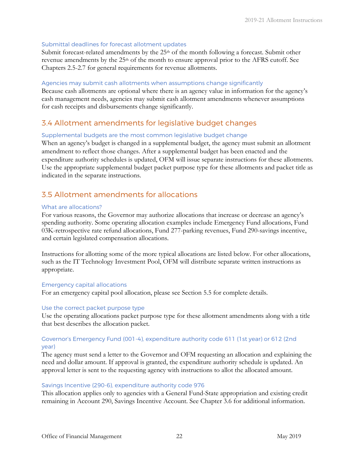### Submittal deadlines for forecast allotment updates

Submit forecast-related amendments by the  $25<sup>th</sup>$  of the month following a forecast. Submit other revenue amendments by the 25<sup>th</sup> of the month to ensure approval prior to the AFRS cutoff. See Chapters 2.5-2.7 for general requirements for revenue allotments.

### Agencies may submit cash allotments when assumptions change significantly

Because cash allotments are optional where there is an agency value in information for the agency's cash management needs, agencies may submit cash allotment amendments whenever assumptions for cash receipts and disbursements change significantly.

### <span id="page-23-0"></span>3.4 Allotment amendments for legislative budget changes

### Supplemental budgets are the most common legislative budget change

When an agency's budget is changed in a supplemental budget, the agency must submit an allotment amendment to reflect those changes. After a supplemental budget has been enacted and the expenditure authority schedules is updated, OFM will issue separate instructions for these allotments. Use the appropriate supplemental budget packet purpose type for these allotments and packet title as indicated in the separate instructions.

# <span id="page-23-1"></span>3.5 Allotment amendments for allocations

### What are allocations?

For various reasons, the Governor may authorize allocations that increase or decrease an agency's spending authority. Some operating allocation examples include Emergency Fund allocations, Fund 03K-retrospective rate refund allocations, Fund 277-parking revenues, Fund 290-savings incentive, and certain legislated compensation allocations.

Instructions for allotting some of the more typical allocations are listed below. For other allocations, such as the IT Technology Investment Pool, OFM will distribute separate written instructions as appropriate.

### Emergency capital allocations

For an emergency capital pool allocation, please see Section 5.5 for complete details.

### Use the correct packet purpose type

Use the operating allocations packet purpose type for these allotment amendments along with a title that best describes the allocation packet.

### Governor's Emergency Fund (001-4), expenditure authority code 611 (1st year) or 612 (2nd year)

The agency must send a letter to the Governor and OFM requesting an allocation and explaining the need and dollar amount. If approval is granted, the expenditure authority schedule is updated. An approval letter is sent to the requesting agency with instructions to allot the allocated amount.

### Savings Incentive (290-6), expenditure authority code 976

This allocation applies only to agencies with a General Fund-State appropriation and existing credit remaining in Account 290, Savings Incentive Account. See Chapter 3.6 for additional information.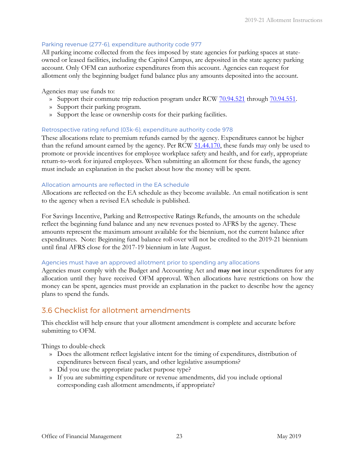### Parking revenue (277-6), expenditure authority code 977

All parking income collected from the fees imposed by state agencies for parking spaces at stateowned or leased facilities, including the Capitol Campus, are deposited in the state agency parking account. Only OFM can authorize expenditures from this account. Agencies can request for allotment only the beginning budget fund balance plus any amounts deposited into the account.

### Agencies may use funds to:

- » Support their commute trip reduction program under RCW [70.94.521](https://app.leg.wa.gov/RCW/default.aspx?cite=70.94.521) through [70.94.551.](https://app.leg.wa.gov/RCW/default.aspx?cite=70.94.551)
- » Support their parking program.
- » Support the lease or ownership costs for their parking facilities.

### Retrospective rating refund (03k-6), expenditure authority code 978

These allocations relate to premium refunds earned by the agency. Expenditures cannot be higher than the refund amount earned by the agency. Per RCW [51.44.170,](https://app.leg.wa.gov/RCW/default.aspx?cite=51.44.170) these funds may only be used to promote or provide incentives for employee workplace safety and health, and for early, appropriate return-to-work for injured employees. When submitting an allotment for these funds, the agency must include an explanation in the packet about how the money will be spent.

### Allocation amounts are reflected in the EA schedule

Allocations are reflected on the EA schedule as they become available. An email notification is sent to the agency when a revised EA schedule is published.

For Savings Incentive, Parking and Retrospective Ratings Refunds, the amounts on the schedule reflect the beginning fund balance and any new revenues posted to AFRS by the agency. These amounts represent the maximum amount available for the biennium, not the current balance after expenditures. Note: Beginning fund balance roll-over will not be credited to the 2019-21 biennium until final AFRS close for the 2017-19 biennium in late August.

### Agencies must have an approved allotment prior to spending any allocations

Agencies must comply with the Budget and Accounting Act and **may not** incur expenditures for any allocation until they have received OFM approval. When allocations have restrictions on how the money can be spent, agencies must provide an explanation in the packet to describe how the agency plans to spend the funds.

# <span id="page-24-0"></span>3.6 Checklist for allotment amendments

This checklist will help ensure that your allotment amendment is complete and accurate before submitting to OFM.

Things to double-check

- » Does the allotment reflect legislative intent for the timing of expenditures, distribution of expenditures between fiscal years, and other legislative assumptions?
- » Did you use the appropriate packet purpose type?
- » If you are submitting expenditure or revenue amendments, did you include optional corresponding cash allotment amendments, if appropriate?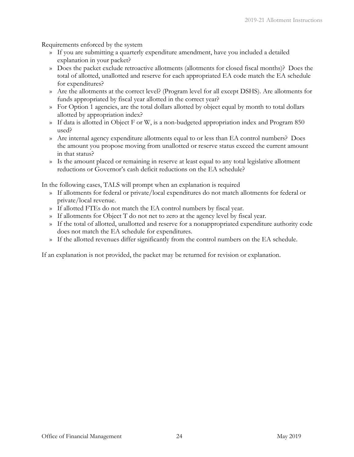Requirements enforced by the system

- » If you are submitting a quarterly expenditure amendment, have you included a detailed explanation in your packet?
- » Does the packet exclude retroactive allotments (allotments for closed fiscal months)? Does the total of allotted, unallotted and reserve for each appropriated EA code match the EA schedule for expenditures?
- » Are the allotments at the correct level? (Program level for all except DSHS). Are allotments for funds appropriated by fiscal year allotted in the correct year?
- » For Option 1 agencies, are the total dollars allotted by object equal by month to total dollars allotted by appropriation index?
- » If data is allotted in Object F or W, is a non-budgeted appropriation index and Program 850 used?
- » Are internal agency expenditure allotments equal to or less than EA control numbers? Does the amount you propose moving from unallotted or reserve status exceed the current amount in that status?
- » Is the amount placed or remaining in reserve at least equal to any total legislative allotment reductions or Governor's cash deficit reductions on the EA schedule?

In the following cases, TALS will prompt when an explanation is required

- » If allotments for federal or private/local expenditures do not match allotments for federal or private/local revenue.
- » If allotted FTEs do not match the EA control numbers by fiscal year.
- » If allotments for Object T do not net to zero at the agency level by fiscal year.
- » If the total of allotted, unallotted and reserve for a nonappropriated expenditure authority code does not match the EA schedule for expenditures.
- » If the allotted revenues differ significantly from the control numbers on the EA schedule.

If an explanation is not provided, the packet may be returned for revision or explanation.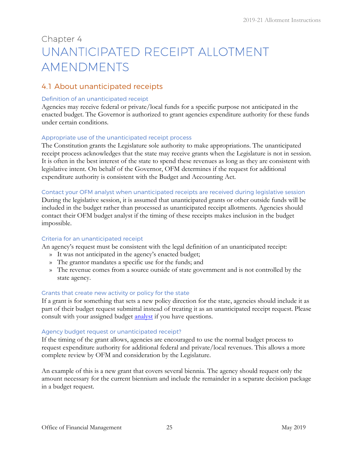# <span id="page-26-0"></span>Chapter 4 UNANTICIPATED RECEIPT ALLOTMENT AMENDMENTS

# <span id="page-26-1"></span>4.1 About unanticipated receipts

### Definition of an unanticipated receipt

Agencies may receive federal or private/local funds for a specific purpose not anticipated in the enacted budget. The Governor is authorized to grant agencies expenditure authority for these funds under certain conditions.

### Appropriate use of the unanticipated receipt process

The Constitution grants the Legislature sole authority to make appropriations. The unanticipated receipt process acknowledges that the state may receive grants when the Legislature is not in session. It is often in the best interest of the state to spend these revenues as long as they are consistent with legislative intent. On behalf of the Governor, OFM determines if the request for additional expenditure authority is consistent with the Budget and Accounting Act.

### Contact your OFM analyst when unanticipated receipts are received during legislative session

During the legislative session, it is assumed that unanticipated grants or other outside funds will be included in the budget rather than processed as unanticipated receipt allotments. Agencies should contact their OFM budget analyst if the timing of these receipts makes inclusion in the budget impossible.

### Criteria for an unanticipated receipt

An agency's request must be consistent with the legal definition of an unanticipated receipt:

- » It was not anticipated in the agency's enacted budget;
- » The grantor mandates a specific use for the funds; and
- » The revenue comes from a source outside of state government and is not controlled by the state agency.

### Grants that create new activity or policy for the state

If a grant is for something that sets a new policy direction for the state, agencies should include it as part of their budget request submittal instead of treating it as an unanticipated receipt request. Please consult with your assigned budget **analyst** if you have questions.

### Agency budget request or unanticipated receipt?

If the timing of the grant allows, agencies are encouraged to use the normal budget process to request expenditure authority for additional federal and private/local revenues. This allows a more complete review by OFM and consideration by the Legislature.

An example of this is a new grant that covers several biennia. The agency should request only the amount necessary for the current biennium and include the remainder in a separate decision package in a budget request.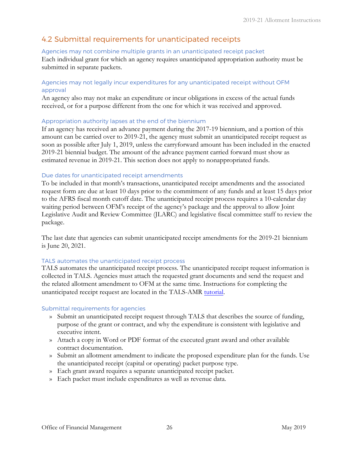# <span id="page-27-0"></span>4.2 Submittal requirements for unanticipated receipts

### Agencies may not combine multiple grants in an unanticipated receipt packet

Each individual grant for which an agency requires unanticipated appropriation authority must be submitted in separate packets.

### Agencies may not legally incur expenditures for any unanticipated receipt without OFM approval

An agency also may not make an expenditure or incur obligations in excess of the actual funds received, or for a purpose different from the one for which it was received and approved.

### Appropriation authority lapses at the end of the biennium

If an agency has received an advance payment during the 2017-19 biennium, and a portion of this amount can be carried over to 2019-21, the agency must submit an unanticipated receipt request as soon as possible after July 1, 2019, unless the carryforward amount has been included in the enacted 2019-21 biennial budget. The amount of the advance payment carried forward must show as estimated revenue in 2019-21. This section does not apply to nonappropriated funds.

### Due dates for unanticipated receipt amendments

To be included in that month's transactions, unanticipated receipt amendments and the associated request form are due at least 10 days prior to the commitment of any funds and at least 15 days prior to the AFRS fiscal month cutoff date. The unanticipated receipt process requires a 10-calendar day waiting period between OFM's receipt of the agency's package and the approval to allow Joint Legislative Audit and Review Committee (JLARC) and legislative fiscal committee staff to review the package.

The last date that agencies can submit unanticipated receipt amendments for the 2019-21 biennium is June 20, 2021.

### TALS automates the unanticipated receipt process

TALS automates the unanticipated receipt process. The unanticipated receipt request information is collected in TALS. Agencies must attach the requested grant documents and send the request and the related allotment amendment to OFM at the same time. Instructions for completing the unanticipated receipt request are located in the TALS-AMR [tutorial](https://budgetlogon.ofm.wa.gov/library/TALS_AMR_Tutorial.pdf).

### [Submittal requirements for agencies](https://fortress.wa.gov/ofm/bass/BASSPR/library/default.htm)

- » Submit an unanticipated receipt request through TALS that describes the source of funding, purpose of the grant or contract, and why the expenditure is consistent with legislative and executive intent.
- » Attach a copy in Word or PDF format of the executed grant award and other available contract documentation.
- » Submit an allotment amendment to indicate the proposed expenditure plan for the funds. Use the unanticipated receipt (capital or operating) packet purpose type.
- » Each grant award requires a separate unanticipated receipt packet.
- » Each packet must include expenditures as well as revenue data.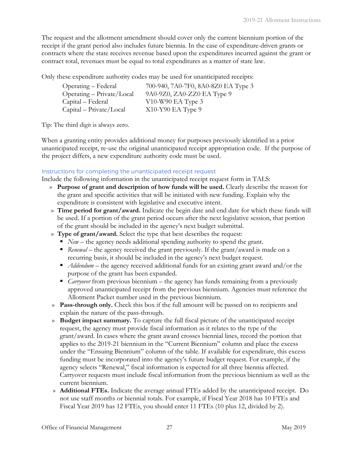The request and the allotment amendment should cover only the current biennium portion of the receipt if the grant period also includes future biennia. In the case of expenditure-driven grants or contracts where the state receives revenue based upon the expenditures incurred against the grant or contract total, revenues must be equal to total expenditures as a matter of state law.

Only these expenditure authority codes may be used for unanticipated receipts:

| Operating – Federal         | 700-940, 7A0-7F0, 8A0-8Z0 EA Type 3 |
|-----------------------------|-------------------------------------|
| $Operating - Private/Local$ | 9A0-9Z0, ZA0-ZZ0 EA Type 9          |
| Capital – Federal           | $V10-W90$ EA Type 3                 |
| $Capital - Private/Local$   | $X10-Y90$ EA Type 9                 |

Tip: The third digit is always zero.

When a granting entity provides additional money for purposes previously identified in a prior unanticipated receipt, re-use the original unanticipated receipt appropriation code. If the purpose of the project differs, a new expenditure authority code must be used.

### Instructions for completing the unanticipated receipt request

Include the following information in the unanticipated receipt request form in TALS:

- » **Purpose of grant and description of how funds will be used.** Clearly describe the reason for the grant and specific activities that will be initiated with new funding. Explain why the expenditure is consistent with legislative and executive intent.
- » **Time period for grant/award.** Indicate the begin date and end date for which these funds will be used. If a portion of the grant period occurs after the next legislative session, that portion of the grant should be included in the agency's next budget submittal.
- » **Type of grant/award.** Select the type that best describes the request:
	- *New* the agency needs additional spending authority to spend the grant.
	- *Renewal* the agency received the grant previously. If the grant/award is made on a recurring basis, it should be included in the agency's next budget request.
	- *Addendum* the agency received additional funds for an existing grant award and/or the purpose of the grant has been expanded.
	- *Carryover* from previous biennium the agency has funds remaining from a previously approved unanticipated receipt from the previous biennium. Agencies must reference the Allotment Packet number used in the previous biennium.
- » **Pass-through only.** Check this box if the full amount will be passed on to recipients and explain the nature of the pass-through.
- » **Budget impact summary.** To capture the full fiscal picture of the unanticipated receipt request, the agency must provide fiscal information as it relates to the type of the grant/award. In cases where the grant award crosses biennial lines, record the portion that applies to the 2019-21 biennium in the "Current Biennium" column and place the excess under the "Ensuing Biennium" column of the table. If available for expenditure, this excess funding must be incorporated into the agency's future budget request. For example, if the agency selects "Renewal," fiscal information is expected for all three biennia affected. Carryover requests must include fiscal information from the previous biennium as well as the current biennium.
- » **Additional FTEs.** Indicate the average annual FTEs added by the unanticipated receipt. Do not use staff months or biennial totals. For example, if Fiscal Year 2018 has 10 FTEs and Fiscal Year 2019 has 12 FTEs, you should enter 11 FTEs (10 plus 12, divided by 2).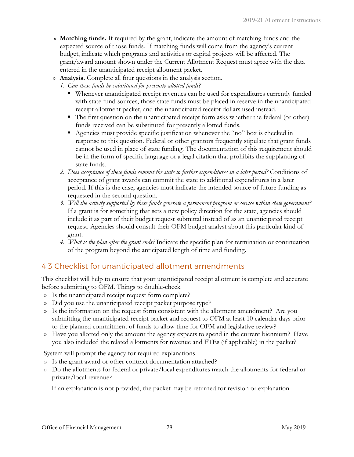- » **Matching funds.** If required by the grant, indicate the amount of matching funds and the expected source of those funds. If matching funds will come from the agency's current budget, indicate which programs and activities or capital projects will be affected. The grant/award amount shown under the Current Allotment Request must agree with the data entered in the unanticipated receipt allotment packet.
- » **Analysis.** Complete all four questions in the analysis section.
	- *1. Can these funds be substituted for presently allotted funds?* 
		- Whenever unanticipated receipt revenues can be used for expenditures currently funded with state fund sources, those state funds must be placed in reserve in the unanticipated receipt allotment packet, and the unanticipated receipt dollars used instead.
		- The first question on the unanticipated receipt form asks whether the federal (or other) funds received can be substituted for presently allotted funds.
		- Agencies must provide specific justification whenever the "no" box is checked in response to this question. Federal or other grantors frequently stipulate that grant funds cannot be used in place of state funding. The documentation of this requirement should be in the form of specific language or a legal citation that prohibits the supplanting of state funds.
	- *2. Does acceptance of these funds commit the state to further expenditures in a later period?* Conditions of acceptance of grant awards can commit the state to additional expenditures in a later period. If this is the case, agencies must indicate the intended source of future funding as requested in the second question.
	- *3. Will the activity supported by these funds generate a permanent program or service within state government?* If a grant is for something that sets a new policy direction for the state, agencies should include it as part of their budget request submittal instead of as an unanticipated receipt request. Agencies should consult their OFM budget analyst about this particular kind of grant.
	- *4. What is the plan after the grant ends?* Indicate the specific plan for termination or continuation of the program beyond the anticipated length of time and funding.

# <span id="page-29-0"></span>4.3 Checklist for unanticipated allotment amendments

This checklist will help to ensure that your unanticipated receipt allotment is complete and accurate before submitting to OFM. Things to double-check

- » Is the unanticipated receipt request form complete?
- » Did you use the unanticipated receipt packet purpose type?
- » Is the information on the request form consistent with the allotment amendment? Are you submitting the unanticipated receipt packet and request to OFM at least 10 calendar days prior to the planned commitment of funds to allow time for OFM and legislative review?
- » Have you allotted only the amount the agency expects to spend in the current biennium? Have you also included the related allotments for revenue and FTEs (if applicable) in the packet?

System will prompt the agency for required explanations

- » Is the grant award or other contract documentation attached?
- » Do the allotments for federal or private/local expenditures match the allotments for federal or private/local revenue?

If an explanation is not provided, the packet may be returned for revision or explanation.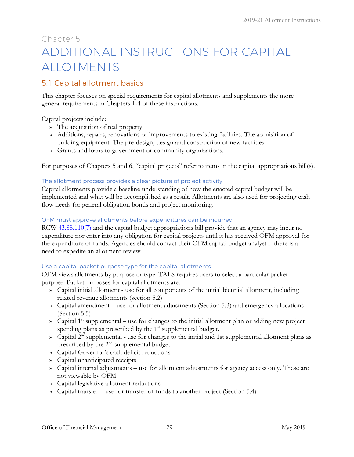# <span id="page-30-2"></span><span id="page-30-0"></span>Chapter 5 ADDITIONAL INSTRUCTIONS FOR CAPITAL ALLOTMENTS

# <span id="page-30-1"></span>5.1 Capital allotment basics

This chapter focuses on special requirements for capital allotments and supplements the more general requirements in Chapters 1-4 of these instructions.

Capital projects include:

- » The acquisition of real property.
- » Additions, repairs, renovations or improvements to existing facilities. The acquisition of building equipment. The pre-design, design and construction of new facilities.
- » Grants and loans to government or community organizations.

For purposes of Chapters 5 and 6, "capital projects" refer to items in the capital appropriations bill(s).

### The allotment process provides a clear picture of project activity

Capital allotments provide a baseline understanding of how the enacted capital budget will be implemented and what will be accomplished as a result. Allotments are also used for projecting cash flow needs for general obligation bonds and project monitoring.

### OFM must approve allotments before expenditures can be incurred

RCW [43.88.110\(](https://app.leg.wa.gov/RCW/default.aspx?cite=43.88.110)7) and the capital budget appropriations bill provide that an agency may incur no expenditure nor enter into any obligation for capital projects until it has received OFM approval for the expenditure of funds. Agencies should contact their OFM capital budget analyst if there is a need to expedite an allotment review.

### Use a capital packet purpose type for the capital allotments

OFM views allotments by purpose or type. TALS requires users to select a particular packet purpose. Packet purposes for capital allotments are:

- » Capital initial allotment use for all components of the initial biennial allotment, including related revenue allotments (section 5.2)
- » Capital amendment use for allotment adjustments (Section 5.3) and emergency allocations (Section 5.5)
- » Capital  $1^{st}$  supplemental use for changes to the initial allotment plan or adding new project spending plans as prescribed by the  $1<sup>st</sup>$  supplemental budget.
- $\infty$  Capital 2<sup>nd</sup> supplemental use for changes to the initial and 1st supplemental allotment plans as prescribed by the 2<sup>nd</sup> supplemental budget.
- » Capital Governor's cash deficit reductions
- » Capital unanticipated receipts
- » Capital internal adjustments use for allotment adjustments for agency access only. These are not viewable by OFM.
- » Capital legislative allotment reductions
- » Capital transfer use for transfer of funds to another project (Section 5.4)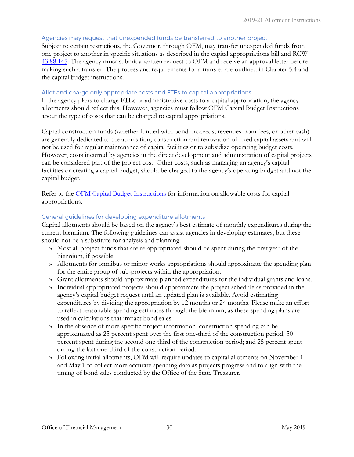### Agencies may request that unexpended funds be transferred to another project

Subject to certain restrictions, the Governor, through OFM, may transfer unexpended funds from one project to another in specific situations as described in the capital appropriations bill and RCW [43.88.145.](https://app.leg.wa.gov/RCW/default.aspx?cite=43.88.145) The agency **must** submit a written request to OFM and receive an approval letter before making such a transfer. The process and requirements for a transfer are outlined in Chapter 5.4 and the capital budget instructions.

### Allot and charge only appropriate costs and FTEs to capital appropriations

If the agency plans to charge FTEs or administrative costs to a capital appropriation, the agency allotments should reflect this. However, agencies must follow OFM Capital Budget Instructions about the type of costs that can be charged to capital appropriations.

Capital construction funds (whether funded with bond proceeds, revenues from fees, or other cash) are generally dedicated to the acquisition, construction and renovation of fixed capital assets and will not be used for regular maintenance of capital facilities or to subsidize operating budget costs. However, costs incurred by agencies in the direct development and administration of capital projects can be considered part of the project cost. Other costs, such as managing an agency's capital facilities or creating a capital budget, should be charged to the agency's operating budget and not the capital budget.

Refer to the [OFM Capital Budget Instructions](http://www.ofm.wa.gov/budget/instructions/capital.asp) [f](http://www.ofm.wa.gov/budget/instructions/capital.asp)or information on allowable costs for capital appropriations.

#### General guidelines for developing expenditure allotments

Capital allotments should be based on the agency's best estimate of monthly expenditures during the current biennium. The following guidelines can assist agencies in developing estimates, but these should not be a substitute for analysis and planning:

- » Most all project funds that are re-appropriated should be spent during the first year of the biennium, if possible.
- » Allotments for omnibus or minor works appropriations should approximate the spending plan for the entire group of sub-projects within the appropriation.
- » Grant allotments should approximate planned expenditures for the individual grants and loans.
- » Individual appropriated projects should approximate the project schedule as provided in the agency's capital budget request until an updated plan is available. Avoid estimating expenditures by dividing the appropriation by 12 months or 24 months. Please make an effort to reflect reasonable spending estimates through the biennium, as these spending plans are used in calculations that impact bond sales.
- » In the absence of more specific project information, construction spending can be approximated as 25 percent spent over the first one-third of the construction period; 50 percent spent during the second one-third of the construction period; and 25 percent spent during the last one-third of the construction period.
- » Following initial allotments, OFM will require updates to capital allotments on November 1 and May 1 to collect more accurate spending data as projects progress and to align with the timing of bond sales conducted by the Office of the State Treasurer.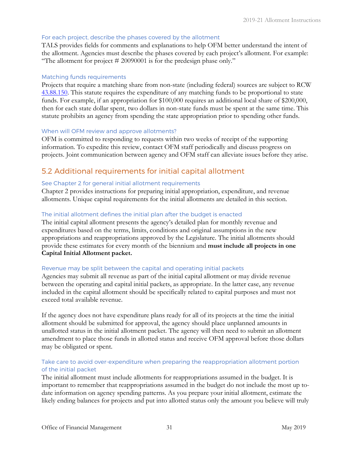### For each project, describe the phases covered by the allotment

TALS provides fields for comments and explanations to help OFM better understand the intent of the allotment. Agencies must describe the phases covered by each project's allotment. For example: "The allotment for project # 20090001 is for the predesign phase only."

#### Matching funds requirements

Projects that require a matching share from non-state (including federal) sources are subject to RCW [43.88.150.](https://app.leg.wa.gov/RCW/default.aspx?cite=43.88.150) This statute requires the expenditure of any matching funds to be proportional to state funds. For example, if an appropriation for \$100,000 requires an additional local share of \$200,000, then for each state dollar spent, two dollars in non-state funds must be spent at the same time. This statute prohibits an agency from spending the state appropriation prior to spending other funds.

#### When will OFM review and approve allotments?

OFM is committed to responding to requests within two weeks of receipt of the supporting information. To expedite this review, contact OFM staff periodically and discuss progress on projects. Joint communication between agency and OFM staff can alleviate issues before they arise.

### 5.2 Additional requirements for initial capital allotment

### See Chapter 2 for general initial allotment requirements

Chapter 2 provides instructions for preparing initial appropriation, expenditure, and revenue allotments. Unique capital requirements for the initial allotments are detailed in this section.

### The initial allotment defines the initial plan after the budget is enacted

The initial capital allotment presents the agency's detailed plan for monthly revenue and expenditures based on the terms, limits, conditions and original assumptions in the new appropriations and reappropriations approved by the Legislature. The initial allotments should provide these estimates for every month of the biennium and **must include all projects in one Capital Initial Allotment packet.** 

### Revenue may be split between the capital and operating initial packets

Agencies may submit all revenue as part of the initial capital allotment or may divide revenue between the operating and capital initial packets, as appropriate. In the latter case, any revenue included in the capital allotment should be specifically related to capital purposes and must not exceed total available revenue.

If the agency does not have expenditure plans ready for all of its projects at the time the initial allotment should be submitted for approval, the agency should place unplanned amounts in unallotted status in the initial allotment packet. The agency will then need to submit an allotment amendment to place those funds in allotted status and receive OFM approval before those dollars may be obligated or spent.

### Take care to avoid over-expenditure when preparing the reappropriation allotment portion of the initial packet

The initial allotment must include allotments for reappropriations assumed in the budget. It is important to remember that reappropriations assumed in the budget do not include the most up todate information on agency spending patterns. As you prepare your initial allotment, estimate the likely ending balances for projects and put into allotted status only the amount you believe will truly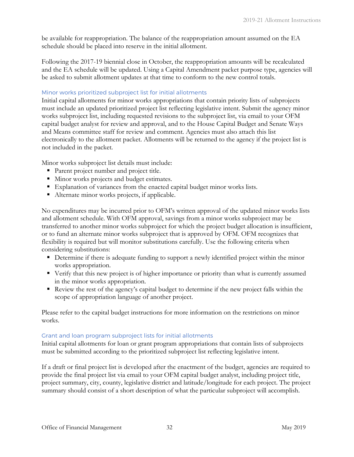be available for reappropriation. The balance of the reappropriation amount assumed on the EA schedule should be placed into reserve in the initial allotment.

Following the 2017-19 biennial close in October, the reappropriation amounts will be recalculated and the EA schedule will be updated. Using a Capital Amendment packet purpose type, agencies will be asked to submit allotment updates at that time to conform to the new control totals.

### Minor works prioritized subproject list for initial allotments

Initial capital allotments for minor works appropriations that contain priority lists of subprojects must include an updated prioritized project list reflecting legislative intent. Submit the agency minor works subproject list, including requested revisions to the subproject list, via email to your OFM capital budget analyst for review and approval, and to the House Capital Budget and Senate Ways and Means committee staff for review and comment. Agencies must also attach this list electronically to the allotment packet. Allotments will be returned to the agency if the project list is not included in the packet.

Minor works subproject list details must include:

- **Parent project number and project title.**
- Minor works projects and budget estimates.
- Explanation of variances from the enacted capital budget minor works lists.
- Alternate minor works projects, if applicable.

No expenditures may be incurred prior to OFM's written approval of the updated minor works lists and allotment schedule. With OFM approval, savings from a minor works subproject may be transferred to another minor works subproject for which the project budget allocation is insufficient, or to fund an alternate minor works subproject that is approved by OFM. OFM recognizes that flexibility is required but will monitor substitutions carefully. Use the following criteria when considering substitutions:

- **Determine if there is adequate funding to support a newly identified project within the minor** works appropriation.
- Verify that this new project is of higher importance or priority than what is currently assumed in the minor works appropriation.
- Review the rest of the agency's capital budget to determine if the new project falls within the scope of appropriation language of another project.

Please refer to the capital budget instructions for more information on the restrictions on minor works.

### Grant and loan program subproject lists for initial allotments

Initial capital allotments for loan or grant program appropriations that contain lists of subprojects must be submitted according to the prioritized subproject list reflecting legislative intent.

If a draft or final project list is developed after the enactment of the budget, agencies are required to provide the final project list via email to your OFM capital budget analyst, including project title, project summary, city, county, legislative district and latitude/longitude for each project. The project summary should consist of a short description of what the particular subproject will accomplish.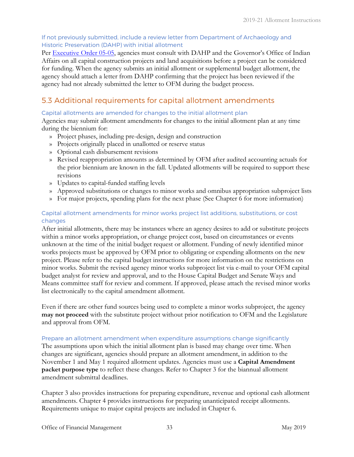### If not previously submitted, include a review letter from Department of Archaeology and Historic Preservation (DAHP) with initial allotment

Per [Executive Order 05-05,](https://www.governor.wa.gov/sites/default/files/exe_order/eo_05-05.pdf) agencies must consult with DAHP and the Governor's Office of Indian Affairs on all capital construction projects and land acquisitions before a project can be considered for funding. When the agency submits an initial allotment or supplemental budget allotment, the agency should attach a letter from DAHP confirming that the project has been reviewed if the agency had not already submitted the letter to OFM during the budget process.

# 5.3 Additional requirements for capital allotment amendments

### Capital allotments are amended for changes to the initial allotment plan

Agencies may submit allotment amendments for changes to the initial allotment plan at any time during the biennium for:

- » Project phases, including pre-design, design and construction
- » Projects originally placed in unallotted or reserve status
- » Optional cash disbursement revisions
- » Revised reappropriation amounts as determined by OFM after audited accounting actuals for the prior biennium are known in the fall. Updated allotments will be required to support these revisions
- » Updates to capital-funded staffing levels
- » Approved substitutions or changes to minor works and omnibus appropriation subproject lists
- » For major projects, spending plans for the next phase (See Chapter 6 for more information)

### Capital allotment amendments for minor works project list additions, substitutions, or cost changes

After initial allotments, there may be instances where an agency desires to add or substitute projects within a minor works appropriation, or change project cost, based on circumstances or events unknown at the time of the initial budget request or allotment. Funding of newly identified minor works projects must be approved by OFM prior to obligating or expending allotments on the new project. Please refer to the capital budget instructions for more information on the restrictions on minor works. Submit the revised agency minor works subproject list via e-mail to your OFM capital budget analyst for review and approval, and to the House Capital Budget and Senate Ways and Means committee staff for review and comment. If approved, please attach the revised minor works list electronically to the capital amendment allotment.

Even if there are other fund sources being used to complete a minor works subproject, the agency **may not proceed** with the substitute project without prior notification to OFM and the Legislature and approval from OFM.

### Prepare an allotment amendment when expenditure assumptions change significantly

The assumptions upon which the initial allotment plan is based may change over time. When changes are significant, agencies should prepare an allotment amendment, in addition to the November 1 and May 1 required allotment updates. Agencies must use a **Capital Amendment packet purpose type** to reflect these changes. Refer to Chapter 3 for the biannual allotment amendment submittal deadlines.

Chapter 3 also provides instructions for preparing expenditure, revenue and optional cash allotment amendments. Chapter 4 provides instructions for preparing unanticipated receipt allotments. Requirements unique to major capital projects are included in Chapter 6.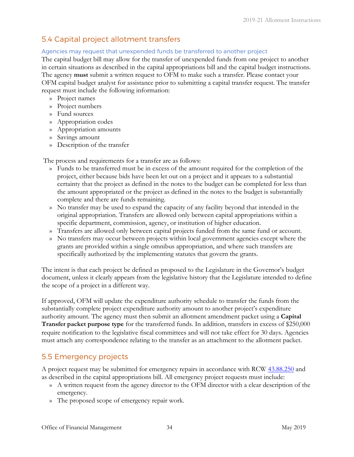# 5.4 Capital project allotment transfers

### Agencies may request that unexpended funds be transferred to another project

The capital budget bill may allow for the transfer of unexpended funds from one project to another in certain situations as described in the capital appropriations bill and the capital budget instructions. The agency **must** submit a written request to OFM to make such a transfer. Please contact your OFM capital budget analyst for assistance prior to submitting a capital transfer request. The transfer request must include the following information:

- » Project names
- » Project numbers
- » Fund sources
- » Appropriation codes
- » Appropriation amounts
- » Savings amount
- » Description of the transfer

The process and requirements for a transfer are as follows:

- » Funds to be transferred must be in excess of the amount required for the completion of the project, either because bids have been let out on a project and it appears to a substantial certainty that the project as defined in the notes to the budget can be completed for less than the amount appropriated or the project as defined in the notes to the budget is substantially complete and there are funds remaining.
- » No transfer may be used to expand the capacity of any facility beyond that intended in the original appropriation. Transfers are allowed only between capital appropriations within a specific department, commission, agency, or institution of higher education.
- » Transfers are allowed only between capital projects funded from the same fund or account.
- » No transfers may occur between projects within local government agencies except where the grants are provided within a single omnibus appropriation, and where such transfers are specifically authorized by the implementing statutes that govern the grants.

The intent is that each project be defined as proposed to the Legislature in the Governor's budget document, unless it clearly appears from the legislative history that the Legislature intended to define the scope of a project in a different way.

If approved, OFM will update the expenditure authority schedule to transfer the funds from the substantially complete project expenditure authority amount to another project's expenditure authority amount. The agency must then submit an allotment amendment packet using a **Capital Transfer packet purpose type** for the transferred funds. In addition, transfers in excess of \$250,000 require notification to the legislative fiscal committees and will not take effect for 30 days. Agencies must attach any correspondence relating to the transfer as an attachment to the allotment packet.

# 5.5 Emergency projects

A project request may be submitted for emergency repairs in accordance with RCW [43.88.250](https://app.leg.wa.gov/RCW/default.aspx?cite=43.88.250) and as described in the capital appropriations bill. All emergency project requests must include:

- » A written request from the agency director to the OFM director with a clear description of the emergency.
- » The proposed scope of emergency repair work.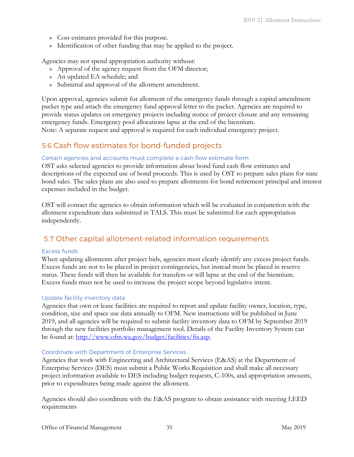- » Cost estimates provided for this purpose.
- » Identification of other funding that may be applied to the project.

Agencies may not spend appropriation authority without:

- » Approval of the agency request from the OFM director;
- » An updated EA schedule; and
- » Submittal and approval of the allotment amendment.

Upon approval, agencies submit for allotment of the emergency funds through a capital amendment packet type and attach the emergency fund approval letter to the packet. Agencies are required to provide status updates on emergency projects including notice of project closure and any remaining emergency funds. Emergency pool allocations lapse at the end of the biennium. Note: A separate request and approval is required for each individual emergency project.

# 5.6 Cash flow estimates for bond-funded projects

### Certain agencies and accounts must complete a cash flow estimate form

OST asks selected agencies to provide information about bond fund cash flow estimates and descriptions of the expected use of bond proceeds. This is used by OST to prepare sales plans for state bond sales. The sales plans are also used to prepare allotments for bond retirement principal and interest expenses included in the budget.

OST will contact the agencies to obtain information which will be evaluated in conjunction with the allotment expenditure data submitted in TALS. This must be submitted for each appropriation independently.

# 5.7 Other capital allotment-related information requirements

### Excess funds

When updating allotments after project bids, agencies must clearly identify any excess project funds. Excess funds are not to be placed in project contingencies, but instead must be placed in reserve status. These funds will then be available for transfers or will lapse at the end of the biennium. Excess funds must not be used to increase the project scope beyond legislative intent.

### Update facility inventory data

Agencies that own or lease facilities are required to report and update facility owner, location, type, condition, size and space use data annually to OFM. New instructions will be published in June 2019, and all agencies will be required to submit facility inventory data to OFM by September 2019 through the new facilities portfolio management tool. Details of the Facility Inventory System can be found at: [http://www.ofm.wa.gov/budget/facilities/fis.asp.](http://www.ofm.wa.gov/budget/facilities/fis.asp) 

### Coordinate with Department of Enterprise Services

Agencies that work with Engineering and Architectural Services (E&AS) at the Department of Enterprise Services (DES) must submit a Public Works Requisition and shall make all necessary project information available to DES including budget requests, C-100s, and appropriation amounts, prior to expenditures being made against the allotment.

Agencies should also coordinate with the E&AS program to obtain assistance with meeting LEED requirements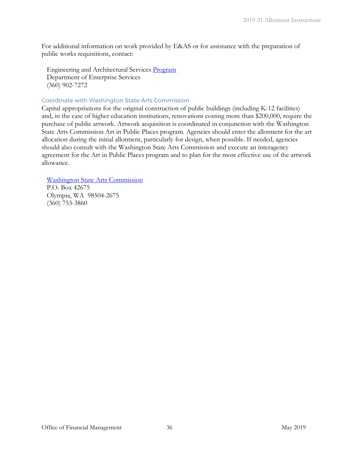For additional information on work provided by E&AS or for assistance with the preparation of public works requisitions, contact:

Engineering and Architectural Services [Program](http://des.wa.gov/services/facilities/Construction/Pages/default.aspx) Department of Enterprise Services (360) 902-7272

### Coordinate with Washington State Arts Commission

Capital appropriations for the original construction of public buildings (including K-12 facilities) and, in the case of higher education institutions, renovations costing more than \$200,000, require the purchase of public artwork. Artwork acquisition is coordinated in conjunction with the Washington State Arts Commission Art in Public Places program. Agencies should enter the allotment for the art allocation during the initial allotment, particularly for design, when possible. If needed, agencies should also consult with the Washington State Arts Commission and execute an interagency agreement for the Art in Public Places program and to plan for the most effective use of the artwork allowance.

Washington State Arts Commission

P.O. Box 42675 Olympia, WA 98504-2675 [\(360\) 753-3860](http://www.arts.wa.gov/)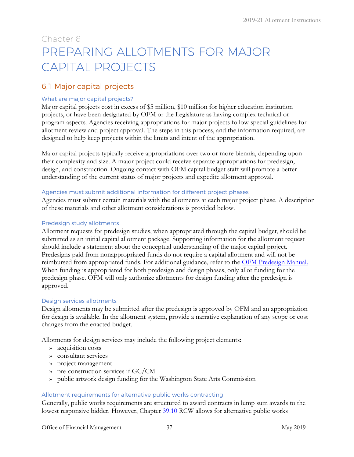# Chapter 6 PREPARING ALLOTMENTS FOR MAJOR CAPITAL PROJECTS

# 6.1 Major capital projects

### What are major capital projects?

Major capital projects cost in excess of \$5 million, \$10 million for higher education institution projects, or have been designated by OFM or the Legislature as having complex technical or program aspects. Agencies receiving appropriations for major projects follow special guidelines for allotment review and project approval. The steps in this process, and the information required, are designed to help keep projects within the limits and intent of the appropriation.

Major capital projects typically receive appropriations over two or more biennia, depending upon their complexity and size. A major project could receive separate appropriations for predesign, design, and construction. Ongoing contact with OFM capital budget staff will promote a better understanding of the current status of major projects and expedite allotment approval.

### Agencies must submit additional information for different project phases

Agencies must submit certain materials with the allotments at each major project phase. A description of these materials and other allotment considerations is provided below.

### Predesign study allotments

Allotment requests for predesign studies, when appropriated through the capital budget, should be submitted as an initial capital allotment package. Supporting information for the allotment request should include a statement about the conceptual understanding of the major capital project. Predesigns paid from nonappropriated funds do not require a capital allotment and will not be reimbursed from appropriated funds. For additional guidance, refer to the [OFM Predesign Manual.](http://ofm.wa.gov/budget/instructions/predesign/2016predesignmanual.pdf) When funding is appropriated for both predesign and design phases, only allot funding for the predesign phase. OFM will only authorize allotments for design funding after the predesign is approved.

### Design services allotments

Design allotments may be submitted after the predesign is approved by OFM and an appropriation for design is available. In the allotment system, provide a narrative explanation of any scope or cost changes from the enacted budget.

Allotments for design services may include the following project elements:

- » acquisition costs
- » consultant services
- » project management
- » pre-construction services if GC/CM
- » public artwork design funding for the Washington State Arts Commission

### Allotment requirements for alternative public works contracting

Generally, public works requirements are structured to award contracts in lump sum awards to the lowest responsive bidder. However, Chapter [39.10](https://app.leg.wa.gov/RCW/default.aspx?cite=39.10) RCW allows for alternative public works

Office of Financial Management 37 May 2019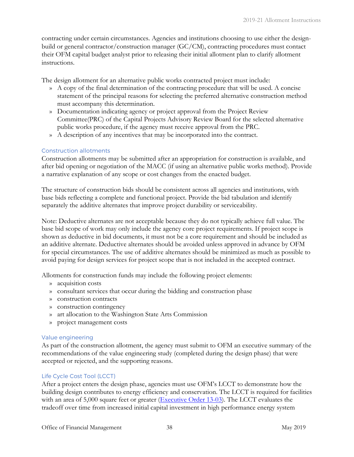contracting under certain circumstances. Agencies and institutions choosing to use either the designbuild or general contractor/construction manager (GC/CM), contracting procedures must contact their OFM capital budget analyst prior to releasing their initial allotment plan to clarify allotment instructions.

The design allotment for an alternative public works contracted project must include:

- » A copy of the final determination of the contracting procedure that will be used. A concise statement of the principal reasons for selecting the preferred alternative construction method must accompany this determination.
- » Documentation indicating agency or project approval from the Project Review Committee(PRC) of the Capital Projects Advisory Review Board for the selected alternative public works procedure, if the agency must receive approval from the PRC.
- » A description of any incentives that may be incorporated into the contract.

### Construction allotments

Construction allotments may be submitted after an appropriation for construction is available, and after bid opening or negotiation of the MACC (if using an alternative public works method). Provide a narrative explanation of any scope or cost changes from the enacted budget.

The structure of construction bids should be consistent across all agencies and institutions, with base bids reflecting a complete and functional project. Provide the bid tabulation and identify separately the additive alternates that improve project durability or serviceability.

Note: Deductive alternates are not acceptable because they do not typically achieve full value. The base bid scope of work may only include the agency core project requirements. If project scope is shown as deductive in bid documents, it must not be a core requirement and should be included as an additive alternate. Deductive alternates should be avoided unless approved in advance by OFM for special circumstances. The use of additive alternates should be minimized as much as possible to avoid paying for design services for project scope that is not included in the accepted contract.

Allotments for construction funds may include the following project elements:

- » acquisition costs
- » consultant services that occur during the bidding and construction phase
- » construction contracts
- » construction contingency
- » art allocation to the Washington State Arts Commission
- » project management costs

### Value engineering

As part of the construction allotment, the agency must submit to OFM an executive summary of the recommendations of the value engineering study (completed during the design phase) that were accepted or rejected, and the supporting reasons.

### Life Cycle Cost Tool (LCCT)

After a project enters the design phase, agencies must use OFM's LCCT to demonstrate how the building design contributes to energy efficiency and conservation. The LCCT is required for facilities with an area of 5,000 square feet or greater [\(Executive Order 13-03\)](http://governor.wa.gov/sites/default/files/exe_order/eo_13-03.pdf). The LCCT evaluates the tradeoff over time from increased initial capital investment in high performance energy system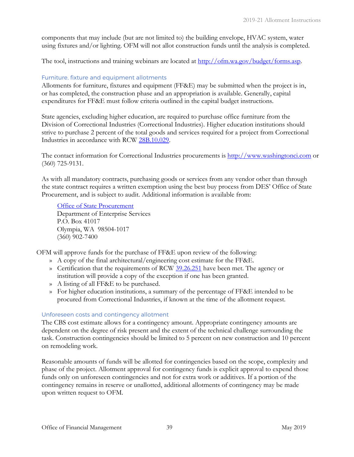components that may include (but are not limited to) the building envelope, HVAC system, water using fixtures and/or lighting. OFM will not allot construction funds until the analysis is completed.

The tool, instructions and training webinars are located at [http://ofm.wa.gov/budget/forms.asp.](http://ofm.wa.gov/budget/forms.asp)

### Furniture, fixture and equipment allotments

Allotments for furniture, fixtures and equipment (FF&E) may be submitted when the project is in, or has completed, the construction phase and an appropriation is available. Generally, capital expenditures for FF&E must follow criteria outlined in the capital budget instruction[s.](http://www.ofm.wa.gov/budget/instructions/capital.asp)

State agencies, excluding higher education, are required to purchase office furniture from the Division of Correctional Industries (Correctional Industries). Higher education institutions should strive to purchase 2 percent of the total goods and services required for a project from Correctional Industries in accordance with RCW [28B.10.029.](https://app.leg.wa.gov/RCW/default.aspx?cite=28B.10.029)

The contact information for Correctional Industries procurements is [http://www.washingtonci.com](http://www.washingtonci.com/) [o](http://www.washingtonci.com/)r (360) 725-9131.

As with all mandatory contracts, purchasing goods or services from any vendor other than through the state contract requires a written exemption using the best buy process from DES' Office of State Procurement, and is subject to audit. Additional information is available from:

[Office of State Procurement](http://des.wa.gov/services/ContractingPurchasing/Pages/default.aspx) Department of Enterprise Services P.O. Box 41017 Olympia, WA 98504-1017 (360) 902-7400

OFM will approve funds for the purchase of FF&E upon review of the following:

- » A copy of the final architectural/engineering cost estimate for the FF&E.
- » Certification that the requirements of RCW [39.26.251](https://app.leg.wa.gov/RCW/default.aspx?cite=39.26.251) have been met. The agency or institution will provide a copy of the exception if one has been granted.
- » A listing of all FF&E to be purchased.
- » For higher education institutions, a summary of the percentage of FF&E intended to be procured from Correctional Industries, if known at the time of the allotment request.

### Unforeseen costs and contingency allotment

The CBS cost estimate allows for a contingency amount. Appropriate contingency amounts are dependent on the degree of risk present and the extent of the technical challenge surrounding the task. Construction contingencies should be limited to 5 percent on new construction and 10 percent on remodeling work.

Reasonable amounts of funds will be allotted for contingencies based on the scope, complexity and phase of the project. Allotment approval for contingency funds is explicit approval to expend those funds only on unforeseen contingencies and not for extra work or additives. If a portion of the contingency remains in reserve or unallotted, additional allotments of contingency may be made upon written request to OFM.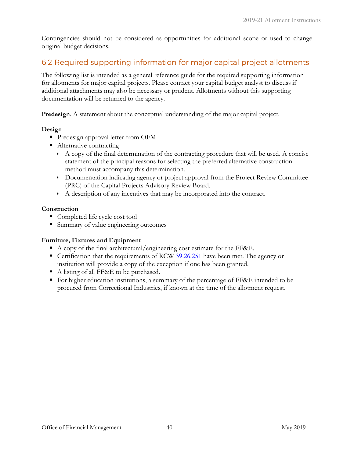Contingencies should not be considered as opportunities for additional scope or used to change original budget decisions.

# <span id="page-41-0"></span>6.2 Required supporting information for major capital project allotments

The following list is intended as a general reference guide for the required supporting information for allotments for major capital projects. Please contact your capital budget analyst to discuss if additional attachments may also be necessary or prudent. Allotments without this supporting documentation will be returned to the agency.

**Predesign**. A statement about the conceptual understanding of the major capital project.

### **Design**

- **Predesign approval letter from OFM**
- Alternative contracting
	- $\rightarrow$  A copy of the final determination of the contracting procedure that will be used. A concise statement of the principal reasons for selecting the preferred alternative construction method must accompany this determination.
	- Documentation indicating agency or project approval from the Project Review Committee (PRC) of the Capital Projects Advisory Review Board.
	- A description of any incentives that may be incorporated into the contract.

### **Construction**

- Completed life cycle cost tool
- Summary of value engineering outcomes

### **Furniture, Fixtures and Equipment**

- A copy of the final architectural/engineering cost estimate for the FF&E.
- Certification that the requirements of RCW [39.26.251](https://app.leg.wa.gov/RCW/default.aspx?cite=39.26.251) have been met. The agency or institution will provide a copy of the exception if one has been granted.
- A listing of all FF&E to be purchased.
- For higher education institutions, a summary of the percentage of FF&E intended to be procured from Correctional Industries, if known at the time of the allotment request.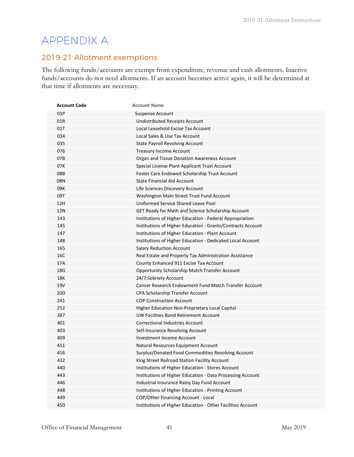# <span id="page-42-1"></span><span id="page-42-0"></span>APPENDIX A

# 2019-21 Allotment exemptions

The following funds/accounts are exempt from expenditure, revenue and cash allotments. Inactive funds/accounts do not need allotments. If an account becomes active again, it will be determined at that time if allotments are necessary.

| <b>Account Code</b> | <b>Account Name</b>                                         |
|---------------------|-------------------------------------------------------------|
| 01P                 | <b>Suspense Account</b>                                     |
| 01R                 | <b>Undistributed Receipts Account</b>                       |
| 01T                 | Local Leasehold Excise Tax Account                          |
| 034                 | Local Sales & Use Tax Account                               |
| 035                 | <b>State Payroll Revolving Account</b>                      |
| 076                 | <b>Treasury Income Account</b>                              |
| 07B                 | Organ and Tissue Donation Awareness Account                 |
| 07K                 | Special License Plant Applicant Trust Account               |
| 08B                 | Foster Care Endowed Scholarship Trust Account               |
| 08N                 | <b>State Financial Aid Account</b>                          |
| 09K                 | Life Sciences Discovery Account                             |
| 09T                 | Washington Main Street Trust Fund Account                   |
| 12H                 | Uniformed Service Shared Leave Pool                         |
| <b>12N</b>          | GET Ready for Math and Science Scholarship Account          |
| 143                 | Institutions of Higher Education - Federal Appropriation    |
| 145                 | Institutions of Higher Education - Grants/Contracts Account |
| 147                 | Institutions of Higher Education - Plant Account            |
| 148                 | Institutions of Higher Education - Dedicated Local Account  |
| 165                 | <b>Salary Reduction Account</b>                             |
| 16C                 | Real Estate and Property Tax Administration Assistance      |
| 17A                 | County Enhanced 911 Excise Tax Account                      |
| 18G                 | Opportunity Scholarship Match Transfer Account              |
| 18K                 | 24/7 Sobriety Account                                       |
| <b>19V</b>          | Cancer Research Endowment Fund Match Transfer Account       |
| 20 <sub>D</sub>     | CPA Scholarship Transfer Account                            |
| 241                 | <b>COP Construction Account</b>                             |
| 252                 | Higher Education Non-Proprietary Local Capital              |
| 387                 | UW Facilities Bond Retirement Account                       |
| 401                 | <b>Correctional Industries Account</b>                      |
| 403                 | Self-Insurance Revolving Account                            |
| 409                 | <b>Investment Income Account</b>                            |
| 411                 | Natural Resources Equipment Account                         |
| 416                 | Surplus/Donated Food Commodities Revolving Account          |
| 432                 | King Street Railroad Station Facility Account               |
| 440                 | Institutions of Higher Education - Stores Account           |
| 443                 | Institutions of Higher Education - Data Processing Account  |
| 446                 | Industrial Insurance Rainy Day Fund Account                 |
| 448                 | Institutions of Higher Education - Printing Account         |
| 449                 | COP/Other Financing Account - Local                         |
| 450                 | Institutions of Higher Education - Other Facilities Account |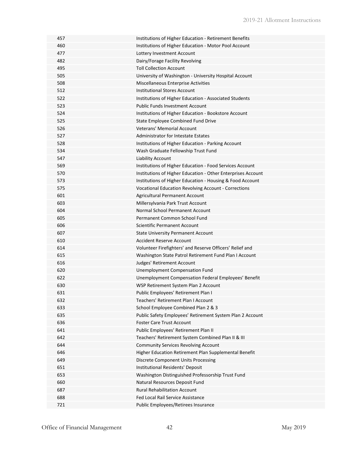| 457 | Institutions of Higher Education - Retirement Benefits       |
|-----|--------------------------------------------------------------|
| 460 | Institutions of Higher Education - Motor Pool Account        |
| 477 | Lottery Investment Account                                   |
| 482 | Dairy/Forage Facility Revolving                              |
| 495 | <b>Toll Collection Account</b>                               |
| 505 | University of Washington - University Hospital Account       |
| 508 | Miscellaneous Enterprise Activities                          |
| 512 | <b>Institutional Stores Account</b>                          |
| 522 | Institutions of Higher Education - Associated Students       |
| 523 | <b>Public Funds Investment Account</b>                       |
| 524 | Institutions of Higher Education - Bookstore Account         |
| 525 | State Employee Combined Fund Drive                           |
| 526 | Veterans' Memorial Account                                   |
| 527 | <b>Administrator for Intestate Estates</b>                   |
| 528 | Institutions of Higher Education - Parking Account           |
| 534 | Wash Graduate Fellowship Trust Fund                          |
| 547 | Liability Account                                            |
| 569 | Institutions of Higher Education - Food Services Account     |
| 570 | Institutions of Higher Education - Other Enterprises Account |
| 573 | Institutions of Higher Education - Housing & Food Account    |
| 575 | Vocational Education Revolving Account - Corrections         |
| 601 | Agricultural Permanent Account                               |
| 603 | Millersylvania Park Trust Account                            |
| 604 | Normal School Permanent Account                              |
| 605 | Permanent Common School Fund                                 |
| 606 | Scientific Permanent Account                                 |
| 607 | <b>State University Permanent Account</b>                    |
| 610 | Accident Reserve Account                                     |
| 614 | Volunteer Firefighters' and Reserve Officers' Relief and     |
| 615 | Washington State Patrol Retirement Fund Plan I Account       |
| 616 | Judges' Retirement Account                                   |
| 620 | Unemployment Compensation Fund                               |
| 622 | Unemployment Compensation Federal Employees' Benefit         |
| 630 | WSP Retirement System Plan 2 Account                         |
| 631 | Public Employees' Retirement Plan I                          |
| 632 | Teachers' Retirement Plan I Account                          |
| 633 | School Employee Combined Plan 2 & 3                          |
| 635 | Public Safety Employees' Retirement System Plan 2 Account    |
| 636 | <b>Foster Care Trust Account</b>                             |
| 641 | Public Employees' Retirement Plan II                         |
| 642 | Teachers' Retirement System Combined Plan II & III           |
| 644 | <b>Community Services Revolving Account</b>                  |
| 646 | Higher Education Retirement Plan Supplemental Benefit        |
| 649 | <b>Discrete Component Units Processing</b>                   |
| 651 | Institutional Residents' Deposit                             |
| 653 | Washington Distinguished Professorship Trust Fund            |
| 660 | Natural Resources Deposit Fund                               |
| 687 | <b>Rural Rehabilitation Account</b>                          |
| 688 | Fed Local Rail Service Assistance                            |
| 721 | Public Employees/Retirees Insurance                          |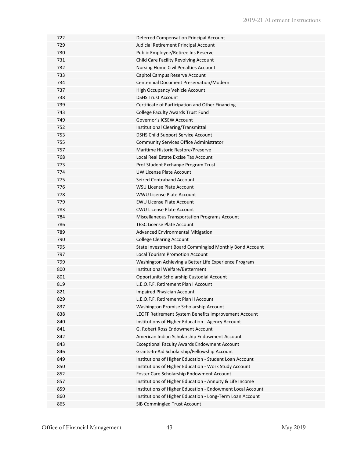| 722 | Deferred Compensation Principal Account                    |
|-----|------------------------------------------------------------|
| 729 | Judicial Retirement Principal Account                      |
| 730 | Public Employee/Retiree Ins Reserve                        |
| 731 | Child Care Facility Revolving Account                      |
| 732 | <b>Nursing Home Civil Penalties Account</b>                |
| 733 | Capitol Campus Reserve Account                             |
| 734 | Centennial Document Preservation/Modern                    |
| 737 | High Occupancy Vehicle Account                             |
| 738 | <b>DSHS Trust Account</b>                                  |
| 739 | Certificate of Participation and Other Financing           |
| 743 | College Faculty Awards Trust Fund                          |
| 749 | Governor's ICSEW Account                                   |
| 752 | Institutional Clearing/Transmittal                         |
| 753 | DSHS Child Support Service Account                         |
| 755 | Community Services Office Administrator                    |
| 757 | Maritime Historic Restore/Preserve                         |
| 768 | Local Real Estate Excise Tax Account                       |
| 773 | Prof Student Exchange Program Trust                        |
| 774 | <b>UW License Plate Account</b>                            |
| 775 | Seized Contraband Account                                  |
| 776 | <b>WSU License Plate Account</b>                           |
| 778 | <b>WWU License Plate Account</b>                           |
| 779 | <b>EWU License Plate Account</b>                           |
| 783 | <b>CWU License Plate Account</b>                           |
| 784 | Miscellaneous Transportation Programs Account              |
| 786 | <b>TESC License Plate Account</b>                          |
| 789 | Advanced Environmental Mitigation                          |
| 790 | <b>College Clearing Account</b>                            |
| 795 | State Investment Board Commingled Monthly Bond Account     |
| 797 | <b>Local Tourism Promotion Account</b>                     |
| 799 | Washington Achieving a Better Life Experience Program      |
| 800 | Institutional Welfare/Betterment                           |
| 801 | <b>Opportunity Scholarship Custodial Account</b>           |
| 819 | L.E.O.F.F. Retirement Plan I Account                       |
| 821 | Impaired Physician Account                                 |
| 829 | L.E.O.F.F. Retirement Plan II Account                      |
| 837 | Washington Promise Scholarship Account                     |
| 838 | LEOFF Retirement System Benefits Improvement Account       |
| 840 | Institutions of Higher Education - Agency Account          |
| 841 | G. Robert Ross Endowment Account                           |
| 842 | American Indian Scholarship Endowment Account              |
| 843 | <b>Exceptional Faculty Awards Endowment Account</b>        |
| 846 | Grants-In-Aid Scholarship/Fellowship Account               |
| 849 | Institutions of Higher Education - Student Loan Account    |
| 850 | Institutions of Higher Education - Work Study Account      |
| 852 | Foster Care Scholarship Endowment Account                  |
| 857 | Institutions of Higher Education - Annuity & Life Income   |
| 859 | Institutions of Higher Education - Endowment Local Account |
| 860 | Institutions of Higher Education - Long-Term Loan Account  |
| 865 | SIB Commingled Trust Account                               |
|     |                                                            |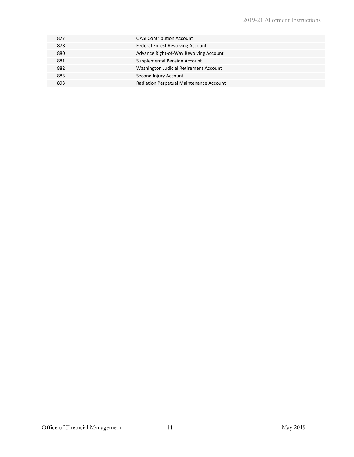| 877 | <b>OASI Contribution Account</b>        |
|-----|-----------------------------------------|
| 878 | Federal Forest Revolving Account        |
| 880 | Advance Right-of-Way Revolving Account  |
| 881 | Supplemental Pension Account            |
| 882 | Washington Judicial Retirement Account  |
| 883 | Second Injury Account                   |
| 893 | Radiation Perpetual Maintenance Account |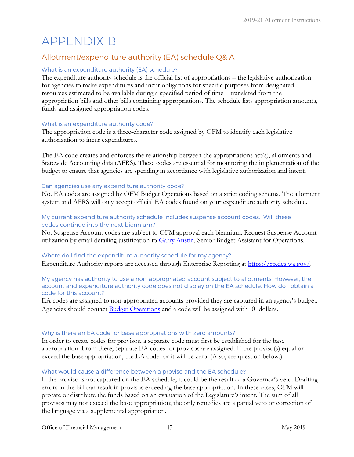# APPENDIX B

# <span id="page-46-0"></span>Allotment/expenditure authority (EA) schedule Q& A

### What is an expenditure authority (EA) schedule?

The expenditure authority schedule is the official list of appropriations – the legislative authorization for agencies to make expenditures and incur obligations for specific purposes from designated resources estimated to be available during a specified period of time – translated from the appropriation bills and other bills containing appropriations. The schedule lists appropriation amounts, funds and assigned appropriation codes.

### What is an expenditure authority code?

The appropriation code is a three-character code assigned by OFM to identify each legislative authorization to incur expenditures.

The EA code creates and enforces the relationship between the appropriations act(s), allotments and Statewide Accounting data (AFRS). These codes are essential for monitoring the implementation of the budget to ensure that agencies are spending in accordance with legislative authorization and intent.

### Can agencies use any expenditure authority code?

No. EA codes are assigned by OFM Budget Operations based on a strict coding schema. The allotment system and AFRS will only accept official EA codes found on your expenditure authority schedule.

### My current expenditure authority schedule includes suspense account codes. Will these codes continue into the next biennium?

No. Suspense Account codes are subject to OFM approval each biennium. Request Suspense Account utilization by email detailing justification to [Garry Austin,](mailto:Garry.Austin@ofm.wa.gov) Senior Budget Assistant for Operations.

### Where do I find the expenditure authority schedule for my agency?

Expenditure Authority reports are accessed through Enterprise Reporting at https://rp.des.wa.gov/.

#### My agency has authority to use a non-appropriated account subject to allotments. However, the account and expenditure authority code does not display on the EA schedule. How do I obtain a code for this account?

EA codes are assigned to non-appropriated accounts provided they are captured in an agency's budget. Agencies should contact Budget Operations [and a code will b](mailto:OFM.Budget@ofm.wa.gov)e assigned with -0- dollars.

### Why is there an EA code for base appropriations with zero amounts?

In order to create codes for provisos, a separate code must first be established for the base appropriation. From there, separate EA codes for provisos are assigned. If the proviso(s) equal or exceed the base appropriation, the EA code for it will be zero. (Also, see question below.)

### What would cause a difference between a proviso and the EA schedule?

If the proviso is not captured on the EA schedule, it could be the result of a Governor's veto. Drafting errors in the bill can result in provisos exceeding the base appropriation. In these cases, OFM will prorate or distribute the funds based on an evaluation of the Legislature's intent. The sum of all provisos may not exceed the base appropriation; the only remedies are a partial veto or correction of the language via a supplemental appropriation.

Office of Financial Management 45 May 2019